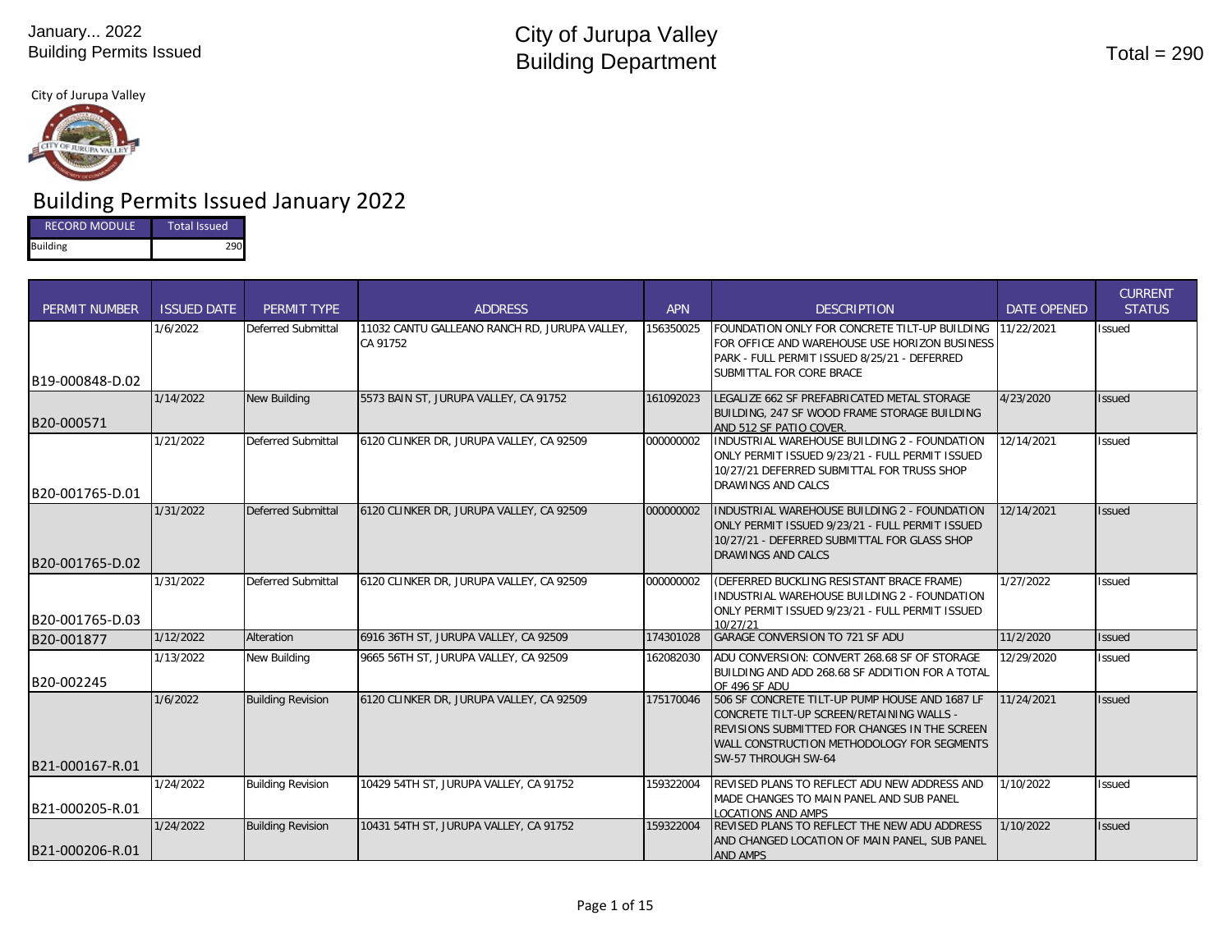City of Jurupa Valley



# Building Permits Issued January 2022

| <b>RECORD MODULE</b> | <b>Total Issued</b> |
|----------------------|---------------------|
| <b>Building</b>      | 290                 |

| <b>PERMIT NUMBER</b> | <b>ISSUED DATE</b> | PERMIT TYPE               | <b>ADDRESS</b>                                            | <b>APN</b> | <b>DESCRIPTION</b>                                                                                                                                                                                                | <b>DATE OPENED</b> | <b>CURRENT</b><br><b>STATUS</b> |
|----------------------|--------------------|---------------------------|-----------------------------------------------------------|------------|-------------------------------------------------------------------------------------------------------------------------------------------------------------------------------------------------------------------|--------------------|---------------------------------|
| B19-000848-D.02      | 1/6/2022           | Deferred Submittal        | 11032 CANTU GALLEANO RANCH RD. JURUPA VALLEY.<br>CA 91752 | 156350025  | FOUNDATION ONLY FOR CONCRETE TILT-UP BUILDING<br>FOR OFFICE AND WAREHOUSE USE HORIZON BUSINESS<br>PARK - FULL PERMIT ISSUED 8/25/21 - DEFERRED<br>SUBMITTAL FOR CORE BRACE                                        | 11/22/2021         | <b>Issued</b>                   |
| B20-000571           | 1/14/2022          | <b>New Building</b>       | 5573 BAIN ST, JURUPA VALLEY, CA 91752                     | 161092023  | LEGALIZE 662 SF PREFABRICATED METAL STORAGE<br>BUILDING, 247 SF WOOD FRAME STORAGE BUILDING<br>AND 512 SF PATIO COVER.                                                                                            | 4/23/2020          | <b>Issued</b>                   |
| B20-001765-D.01      | 1/21/2022          | Deferred Submittal        | 6120 CLINKER DR, JURUPA VALLEY, CA 92509                  | 000000002  | INDUSTRIAL WAREHOUSE BUILDING 2 - FOUNDATION<br>ONLY PERMIT ISSUED 9/23/21 - FULL PERMIT ISSUED<br>10/27/21 DEFERRED SUBMITTAL FOR TRUSS SHOP<br><b>DRAWINGS AND CALCS</b>                                        | 12/14/2021         | <b>Issued</b>                   |
| B20-001765-D.02      | 1/31/2022          | <b>Deferred Submittal</b> | 6120 CLINKER DR, JURUPA VALLEY, CA 92509                  | 000000002  | INDUSTRIAL WAREHOUSE BUILDING 2 - FOUNDATION<br>ONLY PERMIT ISSUED 9/23/21 - FULL PERMIT ISSUED<br>10/27/21 - DEFERRED SUBMITTAL FOR GLASS SHOP<br><b>DRAWINGS AND CALCS</b>                                      | 12/14/2021         | <b>Issued</b>                   |
| B20-001765-D.03      | 1/31/2022          | <b>Deferred Submittal</b> | 6120 CLINKER DR, JURUPA VALLEY, CA 92509                  | 000000002  | (DEFERRED BUCKLING RESISTANT BRACE FRAME)<br>INDUSTRIAL WAREHOUSE BUILDING 2 - FOUNDATION<br>ONLY PERMIT ISSUED 9/23/21 - FULL PERMIT ISSUED<br>10/27/21                                                          | 1/27/2022          | <b>Issued</b>                   |
| B20-001877           | 1/12/2022          | Alteration                | 6916 36TH ST, JURUPA VALLEY, CA 92509                     | 174301028  | <b>GARAGE CONVERSION TO 721 SF ADU</b>                                                                                                                                                                            | 11/2/2020          | <b>Issued</b>                   |
| B20-002245           | 1/13/2022          | New Building              | 9665 56TH ST, JURUPA VALLEY, CA 92509                     | 162082030  | ADU CONVERSION: CONVERT 268.68 SF OF STORAGE<br>BUILDING AND ADD 268.68 SF ADDITION FOR A TOTAL<br>OF 496 SF ADU                                                                                                  | 12/29/2020         | <b>Issued</b>                   |
| B21-000167-R.01      | 1/6/2022           | <b>Building Revision</b>  | 6120 CLINKER DR, JURUPA VALLEY, CA 92509                  | 175170046  | 506 SF CONCRETE TILT-UP PUMP HOUSE AND 1687 LF<br>CONCRETE TILT-UP SCREEN/RETAINING WALLS -<br>REVISIONS SUBMITTED FOR CHANGES IN THE SCREEN<br>WALL CONSTRUCTION METHODOLOGY FOR SEGMENTS<br>SW-57 THROUGH SW-64 | 11/24/2021         | <b>Issued</b>                   |
| B21-000205-R.01      | 1/24/2022          | <b>Building Revision</b>  | 10429 54TH ST, JURUPA VALLEY, CA 91752                    | 159322004  | REVISED PLANS TO REFLECT ADU NEW ADDRESS AND<br>MADE CHANGES TO MAIN PANEL AND SUB PANEL<br><b>LOCATIONS AND AMPS</b>                                                                                             | 1/10/2022          | <b>Issued</b>                   |
| B21-000206-R.01      | 1/24/2022          | <b>Building Revision</b>  | 10431 54TH ST, JURUPA VALLEY, CA 91752                    | 159322004  | REVISED PLANS TO REFLECT THE NEW ADU ADDRESS<br>AND CHANGED LOCATION OF MAIN PANEL, SUB PANEL<br><b>AND AMPS</b>                                                                                                  | 1/10/2022          | <b>Issued</b>                   |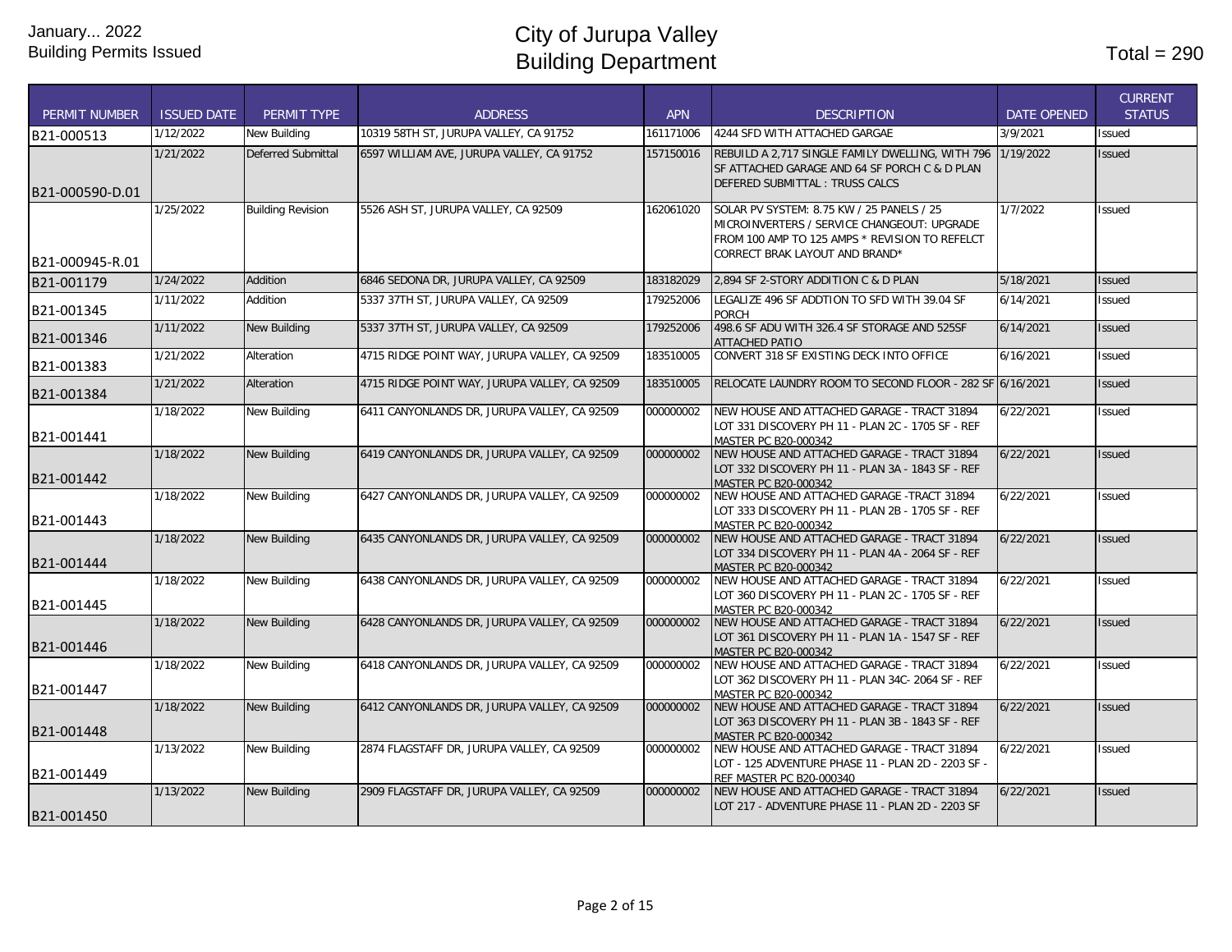| <b>PERMIT NUMBER</b> | <b>ISSUED DATE</b> | PERMIT TYPE               | <b>ADDRESS</b>                                | <b>APN</b> | <b>DESCRIPTION</b>                                                                                                                                                           | <b>DATE OPENED</b> | <b>CURRENT</b><br><b>STATUS</b> |
|----------------------|--------------------|---------------------------|-----------------------------------------------|------------|------------------------------------------------------------------------------------------------------------------------------------------------------------------------------|--------------------|---------------------------------|
| B21-000513           | 1/12/2022          | New Building              | 10319 58TH ST. JURUPA VALLEY. CA 91752        | 161171006  | 4244 SED WITH ATTACHED GARGAE                                                                                                                                                | 3/9/2021           | Issued                          |
| B21-000590-D.01      | 1/21/2022          | <b>Deferred Submittal</b> | 6597 WILLIAM AVE, JURUPA VALLEY, CA 91752     | 157150016  | REBUILD A 2,717 SINGLE FAMILY DWELLING, WITH 796 1/19/2022<br>SF ATTACHED GARAGE AND 64 SF PORCH C & D PLAN<br>DEFERED SUBMITTAL: TRUSS CALCS                                |                    | <b>Issued</b>                   |
| B21-000945-R.01      | 1/25/2022          | <b>Building Revision</b>  | 5526 ASH ST, JURUPA VALLEY, CA 92509          | 162061020  | SOLAR PV SYSTEM: 8.75 KW / 25 PANELS / 25<br>MICROINVERTERS / SERVICE CHANGEOUT: UPGRADE<br>FROM 100 AMP TO 125 AMPS * REVISION TO REFELCT<br>CORRECT BRAK LAYOUT AND BRAND* | 1/7/2022           | <b>Issued</b>                   |
| B21-001179           | 1/24/2022          | Addition                  | 6846 SEDONA DR. JURUPA VALLEY. CA 92509       | 183182029  | 2.894 SF 2-STORY ADDITION C & D PLAN                                                                                                                                         | 5/18/2021          | <b>Issued</b>                   |
| B21-001345           | 1/11/2022          | Addition                  | 5337 37TH ST, JURUPA VALLEY, CA 92509         | 179252006  | LEGALIZE 496 SF ADDTION TO SFD WITH 39.04 SF<br><b>PORCH</b>                                                                                                                 | 6/14/2021          | Issued                          |
| B21-001346           | 1/11/2022          | New Building              | 5337 37TH ST, JURUPA VALLEY, CA 92509         | 179252006  | 498.6 SF ADU WITH 326.4 SF STORAGE AND 525SF<br>ATTACHED PATIO                                                                                                               | 6/14/2021          | <b>Issued</b>                   |
| B21-001383           | 1/21/2022          | Alteration                | 4715 RIDGE POINT WAY, JURUPA VALLEY, CA 92509 | 183510005  | CONVERT 318 SF EXISTING DECK INTO OFFICE                                                                                                                                     | 6/16/2021          | Issued                          |
| B21-001384           | 1/21/2022          | Alteration                | 4715 RIDGE POINT WAY, JURUPA VALLEY, CA 92509 | 183510005  | RELOCATE LAUNDRY ROOM TO SECOND FLOOR - 282 SF 6/16/2021                                                                                                                     |                    | <b>Issued</b>                   |
| B21-001441           | 1/18/2022          | New Building              | 6411 CANYONLANDS DR, JURUPA VALLEY, CA 92509  | 000000002  | NEW HOUSE AND ATTACHED GARAGE - TRACT 31894<br>LOT 331 DISCOVERY PH 11 - PLAN 2C - 1705 SF - REF<br>MASTER PC B20-000342                                                     | 6/22/2021          | Issued                          |
| B21-001442           | 1/18/2022          | New Building              | 6419 CANYONLANDS DR, JURUPA VALLEY, CA 92509  | 000000002  | NEW HOUSE AND ATTACHED GARAGE - TRACT 31894<br>LOT 332 DISCOVERY PH 11 - PLAN 3A - 1843 SF - REF<br>MASTER PC B20-000342                                                     | 6/22/2021          | <b>Issued</b>                   |
| B21-001443           | 1/18/2022          | New Building              | 6427 CANYONLANDS DR, JURUPA VALLEY, CA 92509  | 000000002  | NEW HOUSE AND ATTACHED GARAGE - TRACT 31894<br>LOT 333 DISCOVERY PH 11 - PLAN 2B - 1705 SF - REF<br>MASTER PC B20-000342                                                     | 6/22/2021          | Issued                          |
| B21-001444           | 1/18/2022          | New Building              | 6435 CANYONLANDS DR, JURUPA VALLEY, CA 92509  | 000000002  | NEW HOUSE AND ATTACHED GARAGE - TRACT 31894<br>LOT 334 DISCOVERY PH 11 - PLAN 4A - 2064 SF - REF<br>MASTER PC B20-000342                                                     | 6/22/2021          | <b>Issued</b>                   |
| B21-001445           | 1/18/2022          | New Building              | 6438 CANYONLANDS DR. JURUPA VALLEY, CA 92509  | 000000002  | NEW HOUSE AND ATTACHED GARAGE - TRACT 31894<br>LOT 360 DISCOVERY PH 11 - PLAN 2C - 1705 SF - REF<br>MASTER PC B20-000342                                                     | 6/22/2021          | <b>Issued</b>                   |
| B21-001446           | 1/18/2022          | New Building              | 6428 CANYONLANDS DR. JURUPA VALLEY, CA 92509  | 000000002  | NEW HOUSE AND ATTACHED GARAGE - TRACT 31894<br>LOT 361 DISCOVERY PH 11 - PLAN 1A - 1547 SF - REF<br>MASTER PC B20-000342                                                     | 6/22/2021          | <b>Issued</b>                   |
| B21-001447           | 1/18/2022          | New Building              | 6418 CANYONLANDS DR, JURUPA VALLEY, CA 92509  | 000000002  | NEW HOUSE AND ATTACHED GARAGE - TRACT 31894<br>LOT 362 DISCOVERY PH 11 - PLAN 34C- 2064 SF - REF<br>MASTER PC B20-000342                                                     | 6/22/2021          | Issued                          |
| B21-001448           | 1/18/2022          | <b>New Building</b>       | 6412 CANYONLANDS DR, JURUPA VALLEY, CA 92509  | 000000002  | NEW HOUSE AND ATTACHED GARAGE - TRACT 31894<br>LOT 363 DISCOVERY PH 11 - PLAN 3B - 1843 SF - REF<br>MASTER PC B20-000342                                                     | 6/22/2021          | <b>Issued</b>                   |
| B21-001449           | 1/13/2022          | New Building              | 2874 FLAGSTAFF DR, JURUPA VALLEY, CA 92509    | 000000002  | NEW HOUSE AND ATTACHED GARAGE - TRACT 31894<br>LOT - 125 ADVENTURE PHASE 11 - PLAN 2D - 2203 SF -<br>REF MASTER PC B20-000340                                                | 6/22/2021          | Issued                          |
| B21-001450           | 1/13/2022          | <b>New Building</b>       | 2909 FLAGSTAFF DR, JURUPA VALLEY, CA 92509    | 000000002  | NEW HOUSE AND ATTACHED GARAGE - TRACT 31894<br>LOT 217 - ADVENTURE PHASE 11 - PLAN 2D - 2203 SF                                                                              | 6/22/2021          | <b>Issued</b>                   |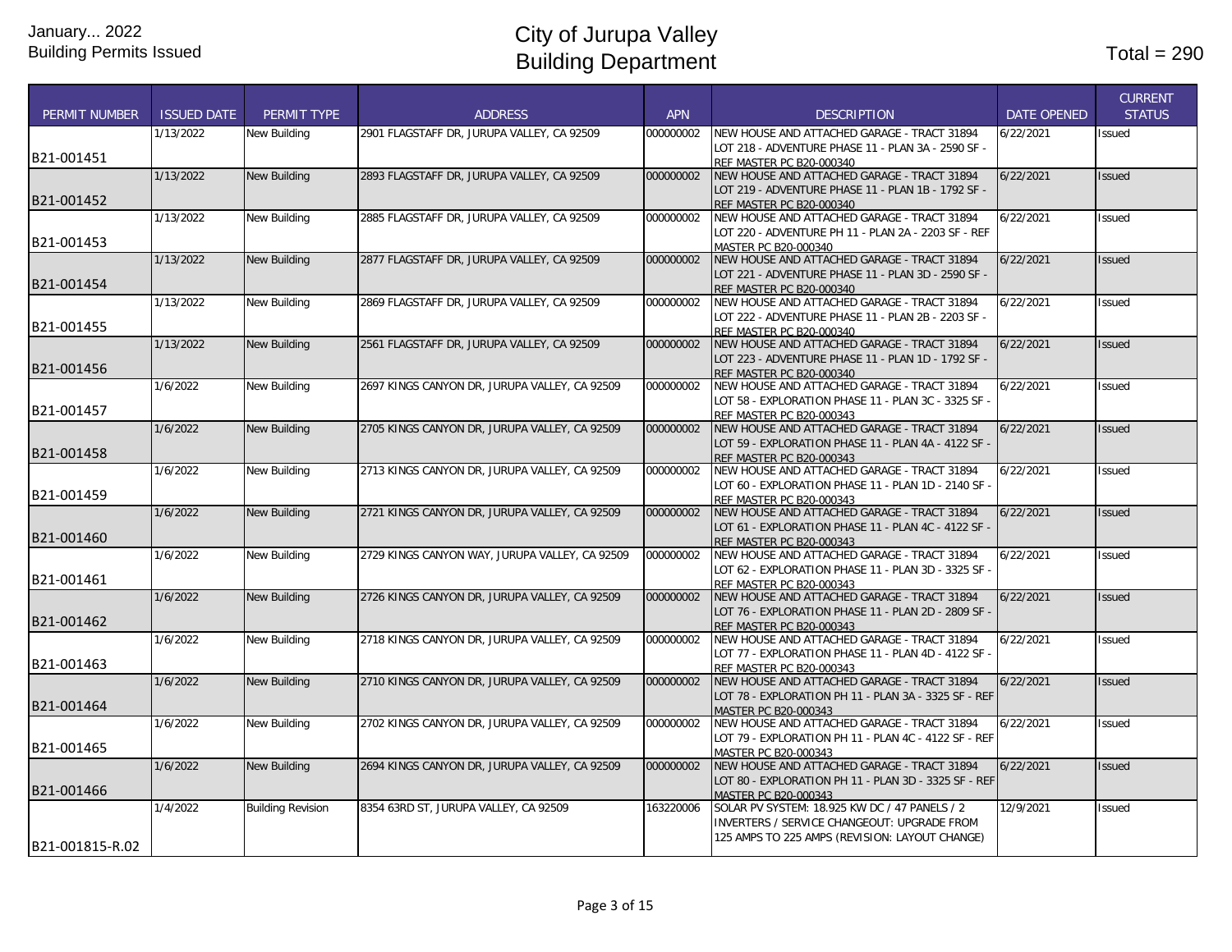| <b>PERMIT NUMBER</b> | <b>ISSUED DATE</b> | PERMIT TYPE              | <b>ADDRESS</b>                                 | <b>APN</b> | <b>DESCRIPTION</b>                                                          | <b>DATE OPENED</b> | <b>CURRENT</b><br><b>STATUS</b> |
|----------------------|--------------------|--------------------------|------------------------------------------------|------------|-----------------------------------------------------------------------------|--------------------|---------------------------------|
|                      | 1/13/2022          | New Building             | 2901 FLAGSTAFF DR, JURUPA VALLEY, CA 92509     | 000000002  | NEW HOUSE AND ATTACHED GARAGE - TRACT 31894                                 | 6/22/2021          | Issued                          |
|                      |                    |                          |                                                |            | LOT 218 - ADVENTURE PHASE 11 - PLAN 3A - 2590 SF -                          |                    |                                 |
| B21-001451           |                    |                          |                                                |            | REF MASTER PC B20-000340                                                    |                    |                                 |
|                      | 1/13/2022          | <b>New Building</b>      | 2893 FLAGSTAFF DR, JURUPA VALLEY, CA 92509     | 000000002  | NEW HOUSE AND ATTACHED GARAGE - TRACT 31894                                 | 6/22/2021          | Issued                          |
| B21-001452           |                    |                          |                                                |            | LOT 219 - ADVENTURE PHASE 11 - PLAN 1B - 1792 SF -                          |                    |                                 |
|                      |                    |                          |                                                |            | REF MASTER PC B20-000340                                                    |                    |                                 |
|                      | 1/13/2022          | New Building             | 2885 FLAGSTAFF DR, JURUPA VALLEY, CA 92509     | 000000002  | NEW HOUSE AND ATTACHED GARAGE - TRACT 31894                                 | 6/22/2021          | Issued                          |
| B21-001453           |                    |                          |                                                |            | LOT 220 - ADVENTURE PH 11 - PLAN 2A - 2203 SF - REF<br>MASTER PC B20-000340 |                    |                                 |
|                      | 1/13/2022          | New Building             | 2877 FLAGSTAFF DR, JURUPA VALLEY, CA 92509     | 000000002  | NEW HOUSE AND ATTACHED GARAGE - TRACT 31894                                 | 6/22/2021          | <b>Issued</b>                   |
|                      |                    |                          |                                                |            | LOT 221 - ADVENTURE PHASE 11 - PLAN 3D - 2590 SF -                          |                    |                                 |
| B21-001454           |                    |                          |                                                |            | REF MASTER PC B20-000340                                                    |                    |                                 |
|                      | 1/13/2022          | New Building             | 2869 FLAGSTAFF DR, JURUPA VALLEY, CA 92509     | 000000002  | NEW HOUSE AND ATTACHED GARAGE - TRACT 31894                                 | 6/22/2021          | Issued                          |
|                      |                    |                          |                                                |            | LOT 222 - ADVENTURE PHASE 11 - PLAN 2B - 2203 SF -                          |                    |                                 |
| B21-001455           |                    |                          |                                                |            | REF MASTER PC B20-000340                                                    |                    |                                 |
|                      | 1/13/2022          | <b>New Building</b>      | 2561 FLAGSTAFF DR, JURUPA VALLEY, CA 92509     | 000000002  | NEW HOUSE AND ATTACHED GARAGE - TRACT 31894                                 | 6/22/2021          | <b>Issued</b>                   |
|                      |                    |                          |                                                |            | LOT 223 - ADVENTURE PHASE 11 - PLAN 1D - 1792 SF -                          |                    |                                 |
| B21-001456           |                    |                          |                                                |            | REF MASTER PC B20-000340                                                    |                    |                                 |
|                      | 1/6/2022           | New Building             | 2697 KINGS CANYON DR, JURUPA VALLEY, CA 92509  | 000000002  | NEW HOUSE AND ATTACHED GARAGE - TRACT 31894                                 | 6/22/2021          | Issued                          |
| B21-001457           |                    |                          |                                                |            | LOT 58 - EXPLORATION PHASE 11 - PLAN 3C - 3325 SF                           |                    |                                 |
|                      |                    |                          |                                                |            | REF MASTER PC B20-000343                                                    |                    |                                 |
|                      | 1/6/2022           | <b>New Building</b>      | 2705 KINGS CANYON DR, JURUPA VALLEY, CA 92509  | 000000002  | NEW HOUSE AND ATTACHED GARAGE - TRACT 31894                                 | 6/22/2021          | <b>Issued</b>                   |
| B21-001458           |                    |                          |                                                |            | LOT 59 - EXPLORATION PHASE 11 - PLAN 4A - 4122 SF -                         |                    |                                 |
|                      | 1/6/2022           | New Building             | 2713 KINGS CANYON DR, JURUPA VALLEY, CA 92509  | 000000002  | REF MASTER PC B20-000343<br>NEW HOUSE AND ATTACHED GARAGE - TRACT 31894     | 6/22/2021          | Issued                          |
|                      |                    |                          |                                                |            | LOT 60 - EXPLORATION PHASE 11 - PLAN 1D - 2140 SF                           |                    |                                 |
| B21-001459           |                    |                          |                                                |            | REF MASTER PC B20-000343                                                    |                    |                                 |
|                      | 1/6/2022           | New Building             | 2721 KINGS CANYON DR, JURUPA VALLEY, CA 92509  | 000000002  | NEW HOUSE AND ATTACHED GARAGE - TRACT 31894                                 | 6/22/2021          | <b>Issued</b>                   |
|                      |                    |                          |                                                |            | LOT 61 - EXPLORATION PHASE 11 - PLAN 4C - 4122 SF                           |                    |                                 |
| B21-001460           |                    |                          |                                                |            | <b>REF MASTER PC B20-000343</b>                                             |                    |                                 |
|                      | 1/6/2022           | New Building             | 2729 KINGS CANYON WAY, JURUPA VALLEY, CA 92509 | 000000002  | NEW HOUSE AND ATTACHED GARAGE - TRACT 31894                                 | 6/22/2021          | Issued                          |
|                      |                    |                          |                                                |            | LOT 62 - EXPLORATION PHASE 11 - PLAN 3D - 3325 SF                           |                    |                                 |
| B21-001461           |                    |                          |                                                |            | REF MASTER PC B20-000343                                                    |                    |                                 |
|                      | 1/6/2022           | New Building             | 2726 KINGS CANYON DR, JURUPA VALLEY, CA 92509  | 000000002  | NEW HOUSE AND ATTACHED GARAGE - TRACT 31894                                 | 6/22/2021          | <b>Issued</b>                   |
| B21-001462           |                    |                          |                                                |            | LOT 76 - EXPLORATION PHASE 11 - PLAN 2D - 2809 SF                           |                    |                                 |
|                      |                    |                          |                                                |            | <b>REF MASTER PC B20-000343</b>                                             |                    |                                 |
|                      | 1/6/2022           | New Building             | 2718 KINGS CANYON DR, JURUPA VALLEY, CA 92509  | 000000002  | NEW HOUSE AND ATTACHED GARAGE - TRACT 31894                                 | 6/22/2021          | Issued                          |
| B21-001463           |                    |                          |                                                |            | LOT 77 - EXPLORATION PHASE 11 - PLAN 4D - 4122 SF                           |                    |                                 |
|                      | 1/6/2022           | <b>New Building</b>      | 2710 KINGS CANYON DR, JURUPA VALLEY, CA 92509  | 000000002  | REF MASTER PC B20-000343<br>NEW HOUSE AND ATTACHED GARAGE - TRACT 31894     | 6/22/2021          | Issued                          |
|                      |                    |                          |                                                |            | LOT 78 - EXPLORATION PH 11 - PLAN 3A - 3325 SF - REF                        |                    |                                 |
| B21-001464           |                    |                          |                                                |            | MASTER PC B20-000343                                                        |                    |                                 |
|                      | 1/6/2022           | New Building             | 2702 KINGS CANYON DR, JURUPA VALLEY, CA 92509  | 000000002  | NEW HOUSE AND ATTACHED GARAGE - TRACT 31894                                 | 6/22/2021          | Issued                          |
|                      |                    |                          |                                                |            | LOT 79 - EXPLORATION PH 11 - PLAN 4C - 4122 SF - REF                        |                    |                                 |
| B21-001465           |                    |                          |                                                |            | MASTER PC B20-000343                                                        |                    |                                 |
|                      | 1/6/2022           | New Building             | 2694 KINGS CANYON DR, JURUPA VALLEY, CA 92509  | 000000002  | NEW HOUSE AND ATTACHED GARAGE - TRACT 31894                                 | 6/22/2021          | Issued                          |
|                      |                    |                          |                                                |            | LOT 80 - EXPLORATION PH 11 - PLAN 3D - 3325 SF - REF                        |                    |                                 |
| B21-001466           |                    |                          |                                                |            | MASTER PC B20-000343                                                        |                    |                                 |
|                      | 1/4/2022           | <b>Building Revision</b> | 8354 63RD ST, JURUPA VALLEY, CA 92509          | 163220006  | SOLAR PV SYSTEM: 18.925 KW DC / 47 PANELS / 2                               | 12/9/2021          | Issued                          |
|                      |                    |                          |                                                |            | INVERTERS / SERVICE CHANGEOUT: UPGRADE FROM                                 |                    |                                 |
| B21-001815-R.02      |                    |                          |                                                |            | 125 AMPS TO 225 AMPS (REVISION: LAYOUT CHANGE)                              |                    |                                 |
|                      |                    |                          |                                                |            |                                                                             |                    |                                 |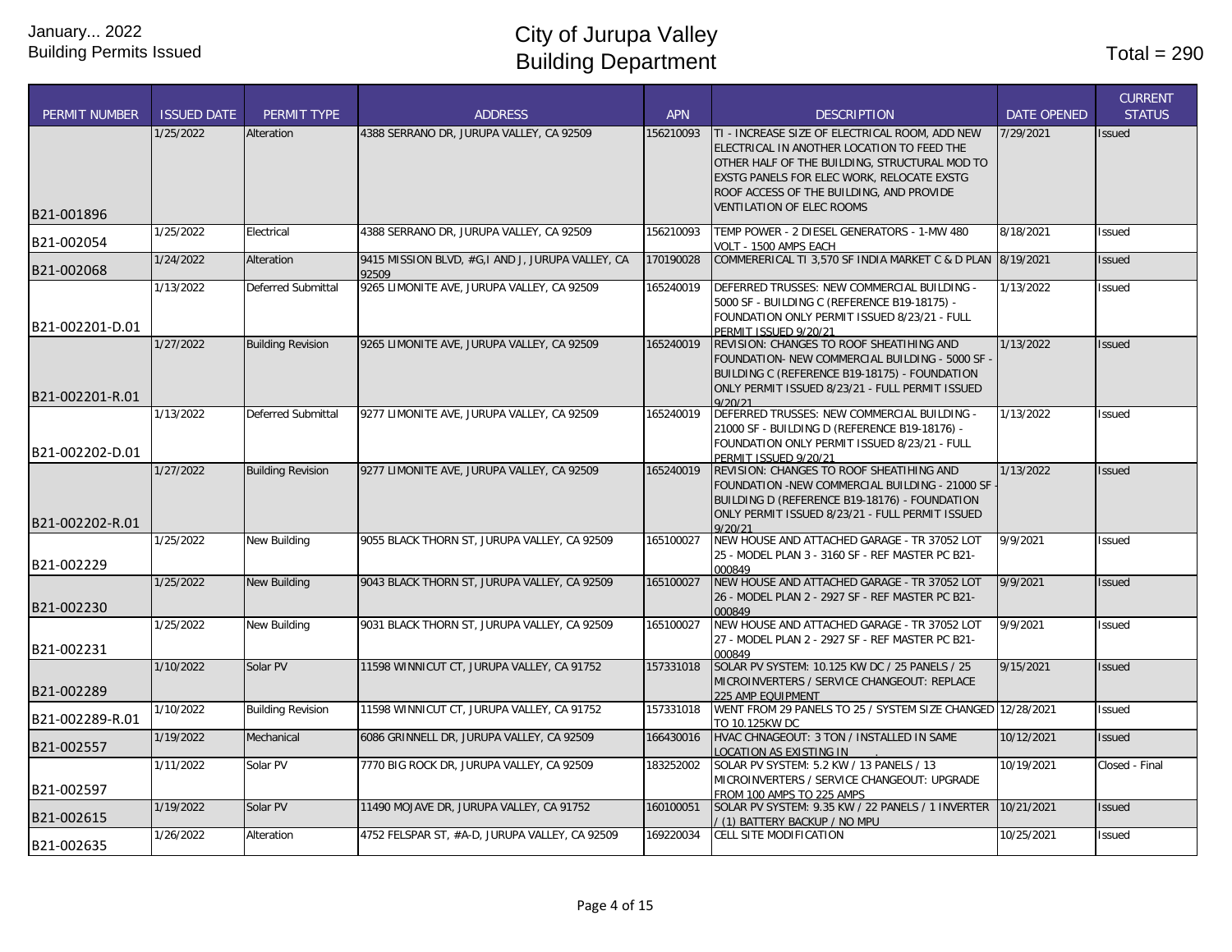| <b>PERMIT NUMBER</b> | <b>ISSUED DATE</b> | PERMIT TYPE              | <b>ADDRESS</b>                                            | <b>APN</b> | <b>DESCRIPTION</b>                                                                                                                                                                                                                                                          | <b>DATE OPENED</b> | <b>CURRENT</b><br><b>STATUS</b> |
|----------------------|--------------------|--------------------------|-----------------------------------------------------------|------------|-----------------------------------------------------------------------------------------------------------------------------------------------------------------------------------------------------------------------------------------------------------------------------|--------------------|---------------------------------|
| B21-001896           | 1/25/2022          | Alteration               | 4388 SERRANO DR, JURUPA VALLEY, CA 92509                  | 156210093  | TI - INCREASE SIZE OF ELECTRICAL ROOM, ADD NEW<br>ELECTRICAL IN ANOTHER LOCATION TO FEED THE<br>OTHER HALF OF THE BUILDING. STRUCTURAL MOD TO<br>EXSTG PANELS FOR ELEC WORK, RELOCATE EXSTG<br>ROOF ACCESS OF THE BUILDING, AND PROVIDE<br><b>VENTILATION OF ELEC ROOMS</b> | 7/29/2021          | Issued                          |
| B21-002054           | 1/25/2022          | Electrical               | 4388 SERRANO DR, JURUPA VALLEY, CA 92509                  | 156210093  | TEMP POWER - 2 DIESEL GENERATORS - 1-MW 480<br>VOLT - 1500 AMPS EACH                                                                                                                                                                                                        | 8/18/2021          | <b>Issued</b>                   |
| B21-002068           | 1/24/2022          | Alteration               | 9415 MISSION BLVD, #G,I AND J, JURUPA VALLEY, CA<br>92509 | 170190028  | COMMERERICAL TI 3,570 SF INDIA MARKET C & D PLAN 8/19/2021                                                                                                                                                                                                                  |                    | Issued                          |
| B21-002201-D.01      | 1/13/2022          | Deferred Submittal       | 9265 LIMONITE AVE, JURUPA VALLEY, CA 92509                | 165240019  | DEFERRED TRUSSES: NEW COMMERCIAL BUILDING -<br>5000 SF - BUILDING C (REFERENCE B19-18175) -<br>FOUNDATION ONLY PERMIT ISSUED 8/23/21 - FULL<br>PERMIT ISSUED 9/20/21                                                                                                        | 1/13/2022          | Issued                          |
| B21-002201-R.01      | 1/27/2022          | <b>Building Revision</b> | 9265 LIMONITE AVE, JURUPA VALLEY, CA 92509                | 165240019  | REVISION: CHANGES TO ROOF SHEATIHING AND<br>FOUNDATION- NEW COMMERCIAL BUILDING - 5000 SF<br>BUILDING C (REFERENCE B19-18175) - FOUNDATION<br>ONLY PERMIT ISSUED 8/23/21 - FULL PERMIT ISSUED<br>9/20/21                                                                    | 1/13/2022          | <b>Issued</b>                   |
| B21-002202-D.01      | 1/13/2022          | Deferred Submittal       | 9277 LIMONITE AVE, JURUPA VALLEY, CA 92509                | 165240019  | DEFERRED TRUSSES: NEW COMMERCIAL BUILDING -<br>21000 SF - BUILDING D (REFERENCE B19-18176) -<br>FOUNDATION ONLY PERMIT ISSUED 8/23/21 - FULL<br>PERMIT ISSUED 9/20/21                                                                                                       | 1/13/2022          | <b>Issued</b>                   |
| B21-002202-R.01      | 1/27/2022          | <b>Building Revision</b> | 9277 LIMONITE AVE, JURUPA VALLEY, CA 92509                | 165240019  | REVISION: CHANGES TO ROOF SHEATIHING AND<br>FOUNDATION -NEW COMMERCIAL BUILDING - 21000 SF<br>BUILDING D (REFERENCE B19-18176) - FOUNDATION<br>ONLY PERMIT ISSUED 8/23/21 - FULL PERMIT ISSUED<br>9/20/21                                                                   | 1/13/2022          | <b>Issued</b>                   |
| B21-002229           | 1/25/2022          | New Building             | 9055 BLACK THORN ST, JURUPA VALLEY, CA 92509              | 165100027  | NEW HOUSE AND ATTACHED GARAGE - TR 37052 LOT<br>25 - MODEL PLAN 3 - 3160 SF - REF MASTER PC B21-<br>000849                                                                                                                                                                  | 9/9/2021           | Issued                          |
| B21-002230           | 1/25/2022          | <b>New Building</b>      | 9043 BLACK THORN ST, JURUPA VALLEY, CA 92509              | 165100027  | NEW HOUSE AND ATTACHED GARAGE - TR 37052 LOT<br>26 - MODEL PLAN 2 - 2927 SF - REF MASTER PC B21-<br>000849                                                                                                                                                                  | 9/9/2021           | <b>Issued</b>                   |
| B21-002231           | 1/25/2022          | <b>New Building</b>      | 9031 BLACK THORN ST, JURUPA VALLEY, CA 92509              | 165100027  | NEW HOUSE AND ATTACHED GARAGE - TR 37052 LOT<br>27 - MODEL PLAN 2 - 2927 SF - REF MASTER PC B21-<br>000849                                                                                                                                                                  | 9/9/2021           | Issued                          |
| B21-002289           | 1/10/2022          | Solar PV                 | 11598 WINNICUT CT, JURUPA VALLEY, CA 91752                | 157331018  | SOLAR PV SYSTEM: 10.125 KW DC / 25 PANELS / 25<br>MICROINVERTERS / SERVICE CHANGEOUT: REPLACE<br>225 AMP EOUIPMENT                                                                                                                                                          | 9/15/2021          | Issued                          |
| B21-002289-R.01      | 1/10/2022          | <b>Building Revision</b> | 11598 WINNICUT CT, JURUPA VALLEY, CA 91752                | 157331018  | WENT FROM 29 PANELS TO 25 / SYSTEM SIZE CHANGED 12/28/2021<br>TO 10.125KW DC                                                                                                                                                                                                |                    | Issued                          |
| B21-002557           | 1/19/2022          | Mechanical               | 6086 GRINNELL DR, JURUPA VALLEY, CA 92509                 | 166430016  | HVAC CHNAGEOUT: 3 TON / INSTALLED IN SAME<br><b>LOCATION AS EXISTING IN</b>                                                                                                                                                                                                 | 10/12/2021         | Issued                          |
| B21-002597           | 1/11/2022          | Solar PV                 | 7770 BIG ROCK DR, JURUPA VALLEY, CA 92509                 | 183252002  | SOLAR PV SYSTEM: 5.2 KW / 13 PANELS / 13<br>MICROINVERTERS / SERVICE CHANGEOUT: UPGRADE<br>FROM 100 AMPS TO 225 AMPS                                                                                                                                                        | 10/19/2021         | Closed - Final                  |
| B21-002615           | 1/19/2022          | Solar PV                 | 11490 MOJAVE DR, JURUPA VALLEY, CA 91752                  | 160100051  | SOLAR PV SYSTEM: 9.35 KW / 22 PANELS / 1 INVERTER<br>(1) BATTERY BACKUP / NO MPU                                                                                                                                                                                            | 10/21/2021         | <b>Issued</b>                   |
| B21-002635           | 1/26/2022          | Alteration               | 4752 FELSPAR ST, #A-D, JURUPA VALLEY, CA 92509            | 169220034  | CELL SITE MODIFICATION                                                                                                                                                                                                                                                      | 10/25/2021         | Issued                          |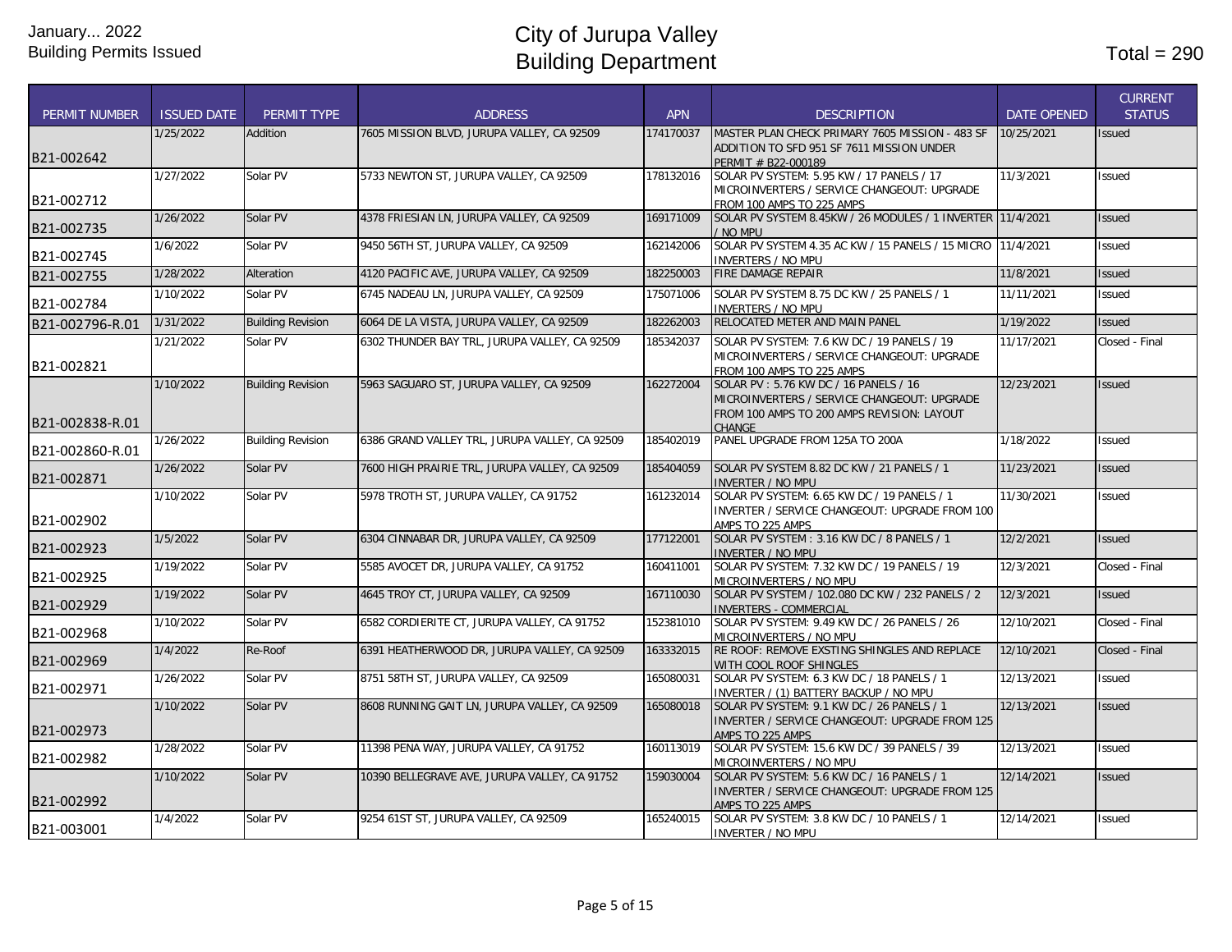|                      |                    |                          |                                                |            |                                                                                          |                    | <b>CURRENT</b> |
|----------------------|--------------------|--------------------------|------------------------------------------------|------------|------------------------------------------------------------------------------------------|--------------------|----------------|
| <b>PERMIT NUMBER</b> | <b>ISSUED DATE</b> | PERMIT TYPE              | <b>ADDRESS</b>                                 | <b>APN</b> | <b>DESCRIPTION</b>                                                                       | <b>DATE OPENED</b> | <b>STATUS</b>  |
|                      | 1/25/2022          | Addition                 | 7605 MISSION BLVD, JURUPA VALLEY, CA 92509     | 174170037  | MASTER PLAN CHECK PRIMARY 7605 MISSION - 483 SF                                          | 10/25/2021         | <b>Issued</b>  |
| B21-002642           |                    |                          |                                                |            | ADDITION TO SFD 951 SF 7611 MISSION UNDER                                                |                    |                |
|                      |                    |                          |                                                |            | PERMIT # B22-000189                                                                      |                    |                |
|                      | 1/27/2022          | Solar PV                 | 5733 NEWTON ST, JURUPA VALLEY, CA 92509        | 178132016  | SOLAR PV SYSTEM: 5.95 KW / 17 PANELS / 17<br>MICROINVERTERS / SERVICE CHANGEOUT: UPGRADE | 11/3/2021          | Issued         |
| B21-002712           |                    |                          |                                                |            | FROM 100 AMPS TO 225 AMPS                                                                |                    |                |
|                      | 1/26/2022          | Solar PV                 | 4378 FRIESIAN LN, JURUPA VALLEY, CA 92509      | 169171009  | SOLAR PV SYSTEM 8.45KW / 26 MODULES / 1 INVERTER 11/4/2021                               |                    | <b>Issued</b>  |
| B21-002735           |                    |                          |                                                |            | / NO MPU                                                                                 |                    |                |
| B21-002745           | 1/6/2022           | Solar PV                 | 9450 56TH ST, JURUPA VALLEY, CA 92509          | 162142006  | SOLAR PV SYSTEM 4.35 AC KW / 15 PANELS / 15 MICRO 11/4/2021                              |                    | <b>Issued</b>  |
|                      |                    |                          |                                                |            | <b>INVERTERS / NO MPU</b><br><b>FIRE DAMAGE REPAIR</b>                                   |                    |                |
| B21-002755           | 1/28/2022          | Alteration               | 4120 PACIFIC AVE, JURUPA VALLEY, CA 92509      | 182250003  |                                                                                          | 11/8/2021          | <b>Issued</b>  |
| B21-002784           | 1/10/2022          | Solar PV                 | 6745 NADEAU LN, JURUPA VALLEY, CA 92509        | 175071006  | SOLAR PV SYSTEM 8.75 DC KW / 25 PANELS / 1                                               | 11/11/2021         | <b>Issued</b>  |
|                      | 1/31/2022          | <b>Building Revision</b> | 6064 DE LA VISTA, JURUPA VALLEY, CA 92509      | 182262003  | <b>INVERTERS / NO MPU</b><br>RELOCATED METER AND MAIN PANEL                              | 1/19/2022          | <b>Issued</b>  |
| B21-002796-R.01      |                    |                          |                                                |            |                                                                                          |                    |                |
|                      | 1/21/2022          | Solar PV                 | 6302 THUNDER BAY TRL, JURUPA VALLEY, CA 92509  | 185342037  | SOLAR PV SYSTEM: 7.6 KW DC / 19 PANELS / 19                                              | 11/17/2021         | Closed - Final |
| B21-002821           |                    |                          |                                                |            | MICROINVERTERS / SERVICE CHANGEOUT: UPGRADE<br>FROM 100 AMPS TO 225 AMPS                 |                    |                |
|                      | 1/10/2022          | <b>Building Revision</b> | 5963 SAGUARO ST, JURUPA VALLEY, CA 92509       | 162272004  | SOLAR PV: 5.76 KW DC / 16 PANELS / 16                                                    | 12/23/2021         | <b>Issued</b>  |
|                      |                    |                          |                                                |            | MICROINVERTERS / SERVICE CHANGEOUT: UPGRADE                                              |                    |                |
|                      |                    |                          |                                                |            | FROM 100 AMPS TO 200 AMPS REVISION: LAYOUT                                               |                    |                |
| B21-002838-R.01      |                    |                          |                                                |            | <b>CHANGE</b>                                                                            |                    |                |
| B21-002860-R.01      | 1/26/2022          | <b>Building Revision</b> | 6386 GRAND VALLEY TRL, JURUPA VALLEY, CA 92509 | 185402019  | PANEL UPGRADE FROM 125A TO 200A                                                          | 1/18/2022          | <b>Issued</b>  |
|                      | 1/26/2022          | Solar PV                 | 7600 HIGH PRAIRIE TRL, JURUPA VALLEY, CA 92509 | 185404059  | SOLAR PV SYSTEM 8.82 DC KW / 21 PANELS / 1                                               | 11/23/2021         | <b>Issued</b>  |
| B21-002871           |                    |                          |                                                |            | <b>INVERTER / NO MPU</b>                                                                 |                    |                |
|                      | 1/10/2022          | Solar PV                 | 5978 TROTH ST, JURUPA VALLEY, CA 91752         | 161232014  | SOLAR PV SYSTEM: 6.65 KW DC / 19 PANELS / 1                                              | 11/30/2021         | Issued         |
|                      |                    |                          |                                                |            | INVERTER / SERVICE CHANGEOUT: UPGRADE FROM 100                                           |                    |                |
| B21-002902           |                    |                          |                                                |            | AMPS TO 225 AMPS                                                                         |                    |                |
| B21-002923           | 1/5/2022           | Solar PV                 | 6304 CINNABAR DR, JURUPA VALLEY, CA 92509      | 177122001  | SOLAR PV SYSTEM: 3.16 KW DC / 8 PANELS / 1                                               | 12/2/2021          | <b>Issued</b>  |
|                      | 1/19/2022          | Solar PV                 | 5585 AVOCET DR, JURUPA VALLEY, CA 91752        | 160411001  | <b>INVERTER / NO MPU</b><br>SOLAR PV SYSTEM: 7.32 KW DC / 19 PANELS / 19                 | 12/3/2021          | Closed - Final |
| B21-002925           |                    |                          |                                                |            | MICROINVERTERS / NO MPU                                                                  |                    |                |
|                      | 1/19/2022          | Solar PV                 | 4645 TROY CT, JURUPA VALLEY, CA 92509          | 167110030  | SOLAR PV SYSTEM / 102.080 DC KW / 232 PANELS / 2                                         | 12/3/2021          | <b>Issued</b>  |
| B21-002929           |                    |                          |                                                |            | <b>INVERTERS - COMMERCIAL</b>                                                            |                    |                |
| B21-002968           | 1/10/2022          | Solar PV                 | 6582 CORDIERITE CT, JURUPA VALLEY, CA 91752    | 152381010  | SOLAR PV SYSTEM: 9.49 KW DC / 26 PANELS / 26                                             | 12/10/2021         | Closed - Final |
|                      | 1/4/2022           | Re-Roof                  | 6391 HEATHERWOOD DR, JURUPA VALLEY, CA 92509   | 163332015  | MICROINVERTERS / NO MPU<br>RE ROOF: REMOVE EXSTING SHINGLES AND REPLACE                  | 12/10/2021         | Closed - Final |
| B21-002969           |                    |                          |                                                |            | WITH COOL ROOF SHINGLES                                                                  |                    |                |
|                      | 1/26/2022          | Solar PV                 | 8751 58TH ST, JURUPA VALLEY, CA 92509          | 165080031  | SOLAR PV SYSTEM: 6.3 KW DC / 18 PANELS / 1                                               | 12/13/2021         | <b>Issued</b>  |
| B21-002971           |                    |                          |                                                |            | INVERTER / (1) BATTERY BACKUP / NO MPU                                                   |                    |                |
|                      | 1/10/2022          | Solar PV                 | 8608 RUNNING GAIT LN, JURUPA VALLEY, CA 92509  | 165080018  | SOLAR PV SYSTEM: 9.1 KW DC / 26 PANELS / 1                                               | 12/13/2021         | <b>Issued</b>  |
| B21-002973           |                    |                          |                                                |            | INVERTER / SERVICE CHANGEOUT: UPGRADE FROM 125                                           |                    |                |
|                      | 1/28/2022          | Solar PV                 | 11398 PENA WAY, JURUPA VALLEY, CA 91752        | 160113019  | AMPS TO 225 AMPS<br>SOLAR PV SYSTEM: 15.6 KW DC / 39 PANELS / 39                         | 12/13/2021         | <b>Issued</b>  |
| B21-002982           |                    |                          |                                                |            | MICROINVERTERS / NO MPU                                                                  |                    |                |
|                      | 1/10/2022          | Solar PV                 | 10390 BELLEGRAVE AVE, JURUPA VALLEY, CA 91752  | 159030004  | SOLAR PV SYSTEM: 5.6 KW DC / 16 PANELS / 1                                               | 12/14/2021         | <b>Issued</b>  |
|                      |                    |                          |                                                |            | INVERTER / SERVICE CHANGEOUT: UPGRADE FROM 125                                           |                    |                |
| B21-002992           |                    |                          |                                                |            | AMPS TO 225 AMPS                                                                         |                    |                |
|                      | 1/4/2022           | Solar PV                 | 9254 61ST ST, JURUPA VALLEY, CA 92509          | 165240015  | SOLAR PV SYSTEM: 3.8 KW DC / 10 PANELS / 1                                               | 12/14/2021         | Issued         |
| B21-003001           |                    |                          |                                                |            | <b>INVERTER / NO MPU</b>                                                                 |                    |                |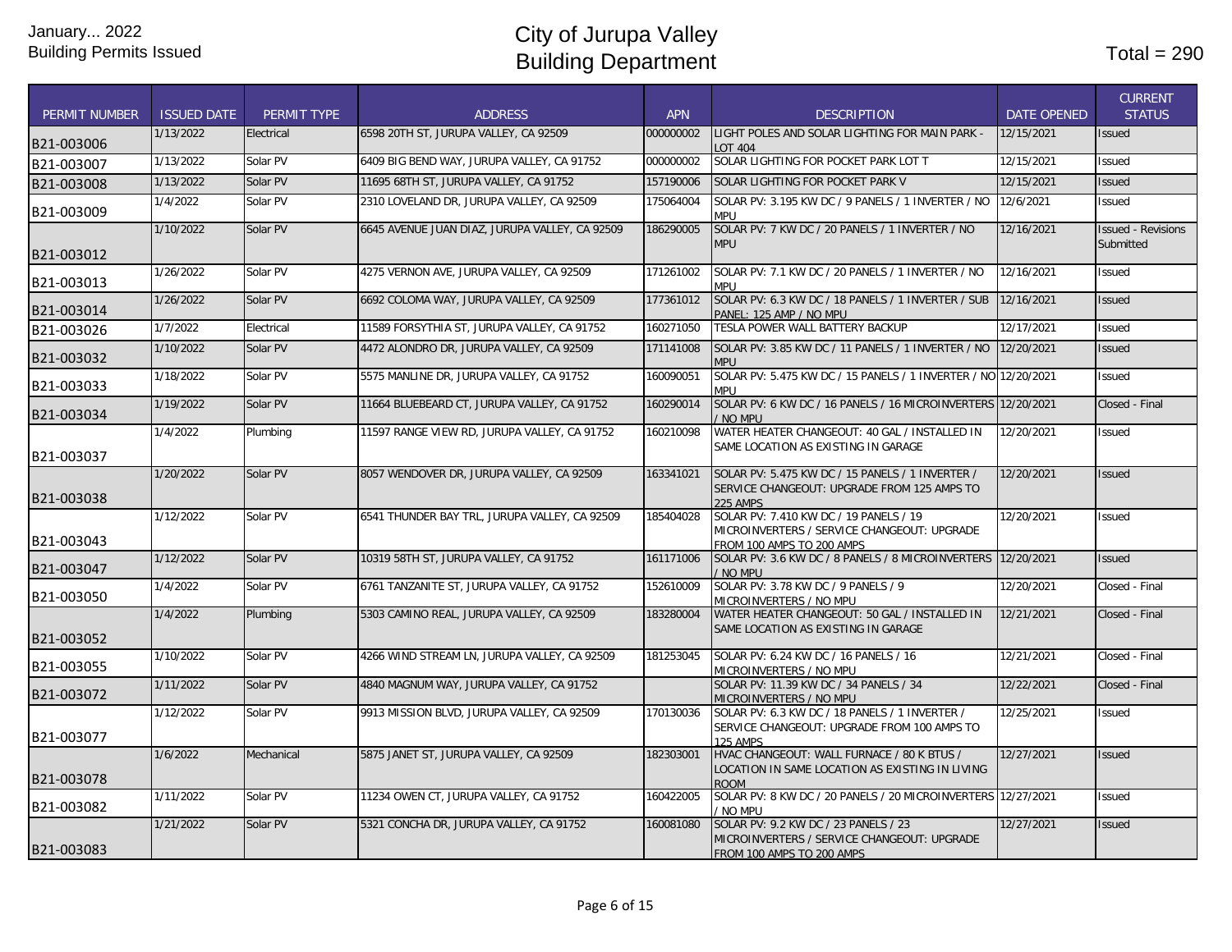| <b>PERMIT NUMBER</b> | <b>ISSUED DATE</b> | PERMIT TYPE | <b>ADDRESS</b>                                 | <b>APN</b> | <b>DESCRIPTION</b>                                                                                                 | <b>DATE OPENED</b> | <b>CURRENT</b><br><b>STATUS</b>        |
|----------------------|--------------------|-------------|------------------------------------------------|------------|--------------------------------------------------------------------------------------------------------------------|--------------------|----------------------------------------|
| B21-003006           | 1/13/2022          | Electrical  | 6598 20TH ST, JURUPA VALLEY, CA 92509          | 000000002  | LIGHT POLES AND SOLAR LIGHTING FOR MAIN PARK -<br><b>LOT 404</b>                                                   | 12/15/2021         | <b>Issued</b>                          |
| B21-003007           | 1/13/2022          | Solar PV    | 6409 BIG BEND WAY, JURUPA VALLEY, CA 91752     | 000000002  | SOLAR LIGHTING FOR POCKET PARK LOT T                                                                               | 12/15/2021         | Issued                                 |
| B21-003008           | 1/13/2022          | Solar PV    | 11695 68TH ST, JURUPA VALLEY, CA 91752         | 157190006  | SOLAR LIGHTING FOR POCKET PARK V                                                                                   | 12/15/2021         | <b>Issued</b>                          |
| B21-003009           | 1/4/2022           | Solar PV    | 2310 LOVELAND DR, JURUPA VALLEY, CA 92509      | 175064004  | SOLAR PV: 3.195 KW DC / 9 PANELS / 1 INVERTER / NO<br><b>MPU</b>                                                   | 12/6/2021          | <b>Issued</b>                          |
| B21-003012           | 1/10/2022          | Solar PV    | 6645 AVENUE JUAN DIAZ, JURUPA VALLEY, CA 92509 | 186290005  | SOLAR PV: 7 KW DC / 20 PANELS / 1 INVERTER / NO<br><b>MPU</b>                                                      | 12/16/2021         | <b>Issued - Revisions</b><br>Submitted |
| B21-003013           | 1/26/2022          | Solar PV    | 4275 VERNON AVE, JURUPA VALLEY, CA 92509       | 171261002  | SOLAR PV: 7.1 KW DC / 20 PANELS / 1 INVERTER / NO<br><b>MPU</b>                                                    | 12/16/2021         | <b>Issued</b>                          |
| B21-003014           | 1/26/2022          | Solar PV    | 6692 COLOMA WAY, JURUPA VALLEY, CA 92509       | 177361012  | SOLAR PV: 6.3 KW DC / 18 PANELS / 1 INVERTER / SUB<br>Panel: 125 Amp / No Mpu                                      | 12/16/2021         | <b>Issued</b>                          |
| B21-003026           | 1/7/2022           | Electrical  | 11589 FORSYTHIA ST, JURUPA VALLEY, CA 91752    | 160271050  | TESLA POWER WALL BATTERY BACKUP                                                                                    | 12/17/2021         | Issued                                 |
| B21-003032           | 1/10/2022          | Solar PV    | 4472 ALONDRO DR, JURUPA VALLEY, CA 92509       | 171141008  | SOLAR PV: 3.85 KW DC / 11 PANELS / 1 INVERTER / NO<br><b>MPU</b>                                                   | 12/20/2021         | <b>Issued</b>                          |
| B21-003033           | 1/18/2022          | Solar PV    | 5575 MANLINE DR, JURUPA VALLEY, CA 91752       | 160090051  | SOLAR PV: 5.475 KW DC / 15 PANELS / 1 INVERTER / NO 12/20/2021<br><b>MPU</b>                                       |                    | <b>Issued</b>                          |
| B21-003034           | 1/19/2022          | Solar PV    | 11664 BLUEBEARD CT, JURUPA VALLEY, CA 91752    | 160290014  | SOLAR PV: 6 KW DC / 16 PANELS / 16 MICROINVERTERS 12/20/2021<br>NO MPU                                             |                    | Closed - Final                         |
| B21-003037           | 1/4/2022           | Plumbing    | 11597 RANGE VIEW RD, JURUPA VALLEY, CA 91752   | 160210098  | WATER HEATER CHANGEOUT: 40 GAL / INSTALLED IN<br>SAME LOCATION AS EXISTING IN GARAGE                               | 12/20/2021         | <b>Issued</b>                          |
| B21-003038           | 1/20/2022          | Solar PV    | 8057 WENDOVER DR, JURUPA VALLEY, CA 92509      | 163341021  | SOLAR PV: 5.475 KW DC / 15 PANELS / 1 INVERTER /<br>SERVICE CHANGEOUT: UPGRADE FROM 125 AMPS TO<br>225 AMPS        | 12/20/2021         | <b>Issued</b>                          |
| B21-003043           | 1/12/2022          | Solar PV    | 6541 THUNDER BAY TRL, JURUPA VALLEY, CA 92509  | 185404028  | SOLAR PV: 7.410 KW DC / 19 PANELS / 19<br>MICROINVERTERS / SERVICE CHANGEOUT: UPGRADE<br>FROM 100 AMPS TO 200 AMPS | 12/20/2021         | <b>Issued</b>                          |
| B21-003047           | 1/12/2022          | Solar PV    | 10319 58TH ST, JURUPA VALLEY, CA 91752         | 161171006  | SOLAR PV: 3.6 KW DC / 8 PANELS / 8 MICROINVERTERS<br>NO MPU                                                        | 12/20/2021         | <b>Issued</b>                          |
| B21-003050           | 1/4/2022           | Solar PV    | 6761 TANZANITE ST, JURUPA VALLEY, CA 91752     | 152610009  | SOLAR PV: 3.78 KW DC / 9 PANELS / 9<br>MICROINVERTERS / NO MPU                                                     | 12/20/2021         | Closed - Final                         |
| B21-003052           | 1/4/2022           | Plumbing    | 5303 CAMINO REAL, JURUPA VALLEY, CA 92509      | 183280004  | WATER HEATER CHANGEOUT: 50 GAL / INSTALLED IN<br>SAME LOCATION AS EXISTING IN GARAGE                               | 12/21/2021         | Closed - Final                         |
| B21-003055           | 1/10/2022          | Solar PV    | 4266 WIND STREAM LN, JURUPA VALLEY, CA 92509   | 181253045  | SOLAR PV: 6.24 KW DC / 16 PANELS / 16<br>MICROINVERTERS / NO MPU                                                   | 12/21/2021         | Closed - Final                         |
| B21-003072           | 1/11/2022          | Solar PV    | 4840 MAGNUM WAY, JURUPA VALLEY, CA 91752       |            | SOLAR PV: 11.39 KW DC / 34 PANELS / 34<br>MICROINVERTERS / NO MPU                                                  | 12/22/2021         | Closed - Final                         |
| B21-003077           | 1/12/2022          | Solar PV    | 9913 MISSION BLVD, JURUPA VALLEY, CA 92509     | 170130036  | SOLAR PV: 6.3 KW DC / 18 PANELS / 1 INVERTER /<br>SERVICE CHANGEOUT: UPGRADE FROM 100 AMPS TO<br>125 AMPS          | 12/25/2021         | <b>Issued</b>                          |
| B21-003078           | 1/6/2022           | Mechanical  | 5875 JANET ST. JURUPA VALLEY. CA 92509         | 182303001  | HVAC CHANGEOUT: WALL FURNACE / 80 K BTUS /<br>LOCATION IN SAME LOCATION AS EXISTING IN LIVING<br><b>ROOM</b>       | 12/27/2021         | <b>Issued</b>                          |
| B21-003082           | 1/11/2022          | Solar PV    | 11234 OWEN CT. JURUPA VALLEY. CA 91752         | 160422005  | SOLAR PV: 8 KW DC / 20 PANELS / 20 MICROINVERTERS 12/27/2021<br>NO MPU                                             |                    | <b>Issued</b>                          |
| B21-003083           | 1/21/2022          | Solar PV    | 5321 CONCHA DR, JURUPA VALLEY, CA 91752        | 160081080  | SOLAR PV: 9.2 KW DC / 23 PANELS / 23<br>MICROINVERTERS / SERVICE CHANGEOUT: UPGRADE<br>FROM 100 AMPS TO 200 AMPS   | 12/27/2021         | <b>Issued</b>                          |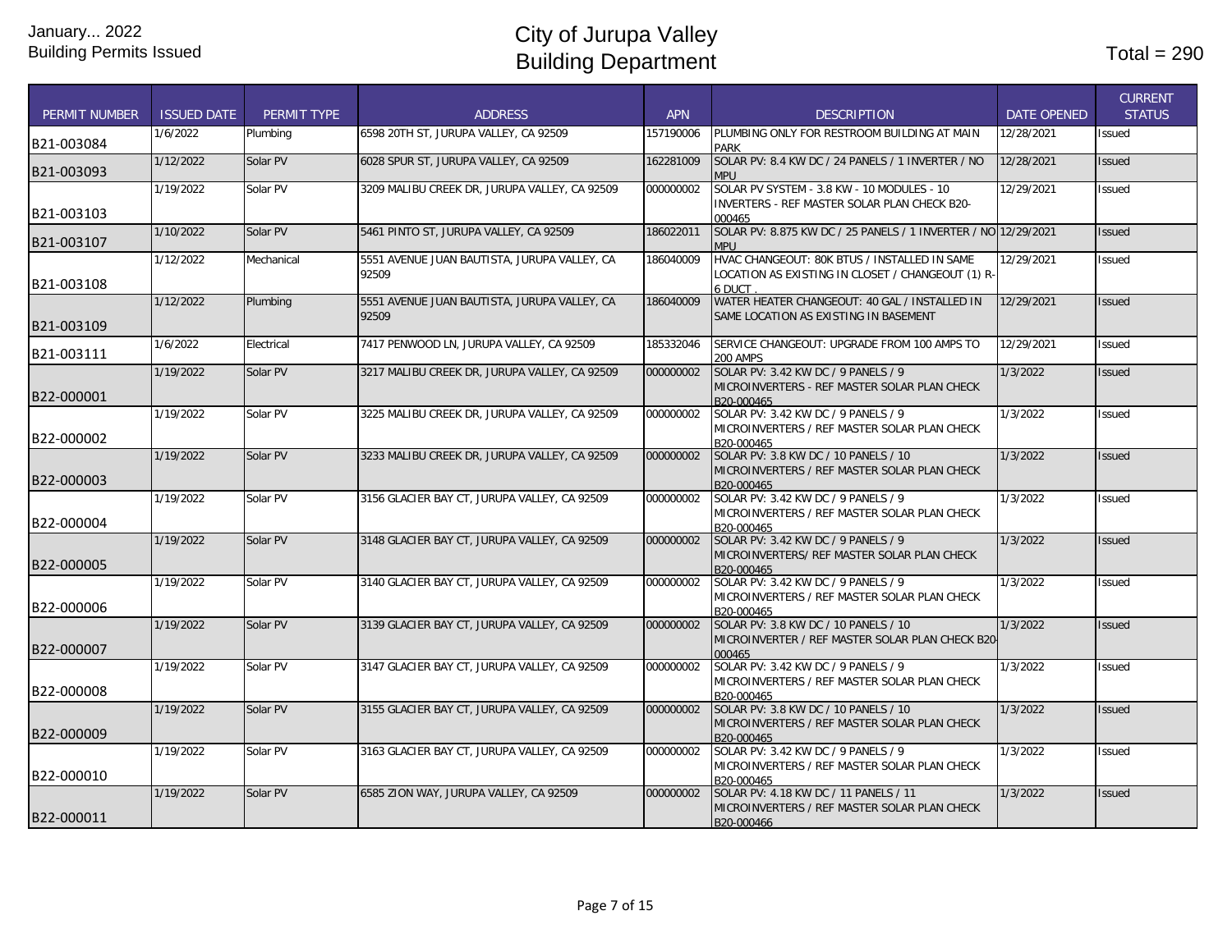| <b>PERMIT NUMBER</b> | <b>ISSUED DATE</b> | PERMIT TYPE | <b>ADDRESS</b>                                        | <b>APN</b> | <b>DESCRIPTION</b>                                                                                          | <b>DATE OPENED</b> | <b>CURRENT</b><br><b>STATUS</b> |
|----------------------|--------------------|-------------|-------------------------------------------------------|------------|-------------------------------------------------------------------------------------------------------------|--------------------|---------------------------------|
| B21-003084           | 1/6/2022           | Plumbing    | 6598 20TH ST, JURUPA VALLEY, CA 92509                 | 157190006  | PLUMBING ONLY FOR RESTROOM BUILDING AT MAIN<br><b>PARK</b>                                                  | 12/28/2021         | <b>Issued</b>                   |
| B21-003093           | 1/12/2022          | Solar PV    | 6028 SPUR ST, JURUPA VALLEY, CA 92509                 | 162281009  | SOLAR PV: 8.4 KW DC / 24 PANELS / 1 INVERTER / NO<br><b>MPU</b>                                             | 12/28/2021         | <b>Issued</b>                   |
| B21-003103           | 1/19/2022          | Solar PV    | 3209 MALIBU CREEK DR, JURUPA VALLEY, CA 92509         | 000000002  | SOLAR PV SYSTEM - 3.8 KW - 10 MODULES - 10<br>INVERTERS - REF MASTER SOLAR PLAN CHECK B20-<br>000465        | 12/29/2021         | Issued                          |
| B21-003107           | 1/10/2022          | Solar PV    | 5461 PINTO ST, JURUPA VALLEY, CA 92509                | 186022011  | SOLAR PV: 8.875 KW DC / 25 PANELS / 1 INVERTER / NO 12/29/2021<br><b>MPU</b>                                |                    | <b>Issued</b>                   |
| B21-003108           | 1/12/2022          | Mechanical  | 5551 AVENUE JUAN BAUTISTA, JURUPA VALLEY, CA<br>92509 | 186040009  | HVAC CHANGEOUT: 80K BTUS / INSTALLED IN SAME<br>LOCATION AS EXISTING IN CLOSET / CHANGEOUT (1) R-<br>6 DUCT | 12/29/2021         | <b>Issued</b>                   |
| B21-003109           | 1/12/2022          | Plumbing    | 5551 AVENUE JUAN BAUTISTA, JURUPA VALLEY, CA<br>92509 | 186040009  | WATER HEATER CHANGEOUT: 40 GAL / INSTALLED IN<br>SAME LOCATION AS EXISTING IN BASEMENT                      | 12/29/2021         | <b>Issued</b>                   |
| B21-003111           | 1/6/2022           | Electrical  | 7417 PENWOOD LN, JURUPA VALLEY, CA 92509              | 185332046  | SERVICE CHANGEOUT: UPGRADE FROM 100 AMPS TO<br><b>200 AMPS</b>                                              | 12/29/2021         | <b>Issued</b>                   |
| B22-000001           | 1/19/2022          | Solar PV    | 3217 MALIBU CREEK DR. JURUPA VALLEY. CA 92509         | 000000002  | SOLAR PV: 3.42 KW DC / 9 PANELS / 9<br>MICROINVERTERS - REF MASTER SOLAR PLAN CHECK<br>B20-000465           | 1/3/2022           | <b>Issued</b>                   |
| B22-000002           | 1/19/2022          | Solar PV    | 3225 MALIBU CREEK DR. JURUPA VALLEY, CA 92509         | 000000002  | SOLAR PV: 3.42 KW DC / 9 PANELS / 9<br>MICROINVERTERS / REF MASTER SOLAR PLAN CHECK<br>B20-000465           | 1/3/2022           | <b>Issued</b>                   |
| B22-000003           | 1/19/2022          | Solar PV    | 3233 MALIBU CREEK DR, JURUPA VALLEY, CA 92509         | 000000002  | SOLAR PV: 3.8 KW DC / 10 PANELS / 10<br>MICROINVERTERS / REF MASTER SOLAR PLAN CHECK<br>B20-000465          | 1/3/2022           | <b>Issued</b>                   |
| B22-000004           | 1/19/2022          | Solar PV    | 3156 GLACIER BAY CT, JURUPA VALLEY, CA 92509          | 000000002  | SOLAR PV: 3.42 KW DC / 9 PANELS / 9<br>MICROINVERTERS / REF MASTER SOLAR PLAN CHECK<br>B20-000465           | 1/3/2022           | <b>Issued</b>                   |
| B22-000005           | 1/19/2022          | Solar PV    | 3148 GLACIER BAY CT, JURUPA VALLEY, CA 92509          | 000000002  | SOLAR PV: 3.42 KW DC / 9 PANELS / 9<br>MICROINVERTERS/ REF MASTER SOLAR PLAN CHECK<br>B20-000465            | 1/3/2022           | <b>Issued</b>                   |
| B22-000006           | 1/19/2022          | Solar PV    | 3140 GLACIER BAY CT, JURUPA VALLEY, CA 92509          | 000000002  | SOLAR PV: 3.42 KW DC / 9 PANELS / 9<br>MICROINVERTERS / REF MASTER SOLAR PLAN CHECK<br>B20-000465           | 1/3/2022           | <b>Issued</b>                   |
| B22-000007           | 1/19/2022          | Solar PV    | 3139 GLACIER BAY CT, JURUPA VALLEY, CA 92509          | 000000002  | SOLAR PV: 3.8 KW DC / 10 PANELS / 10<br>MICROINVERTER / REF MASTER SOLAR PLAN CHECK B20<br>000465           | 1/3/2022           | <b>Issued</b>                   |
| B22-000008           | 1/19/2022          | Solar PV    | 3147 GLACIER BAY CT, JURUPA VALLEY, CA 92509          | 000000002  | SOLAR PV: 3.42 KW DC / 9 PANELS / 9<br>MICROINVERTERS / REF MASTER SOLAR PLAN CHECK<br>B20-000465           | 1/3/2022           | Issued                          |
| B22-000009           | 1/19/2022          | Solar PV    | 3155 GLACIER BAY CT, JURUPA VALLEY, CA 92509          | 000000002  | SOLAR PV: 3.8 KW DC / 10 PANELS / 10<br>IMICROINVERTERS / REF MASTER SOLAR PLAN CHECK<br>B20-000465         | 1/3/2022           | <b>Issued</b>                   |
| B22-000010           | 1/19/2022          | Solar PV    | 3163 GLACIER BAY CT, JURUPA VALLEY, CA 92509          | 000000002  | SOLAR PV: 3.42 KW DC / 9 PANELS / 9<br>MICROINVERTERS / REF MASTER SOLAR PLAN CHECK<br>B20-000465           | 1/3/2022           | <b>Issued</b>                   |
| B22-000011           | 1/19/2022          | Solar PV    | 6585 ZION WAY, JURUPA VALLEY, CA 92509                | 000000002  | SOLAR PV: 4.18 KW DC / 11 PANELS / 11<br>MICROINVERTERS / REF MASTER SOLAR PLAN CHECK<br>B20-000466         | 1/3/2022           | <b>Issued</b>                   |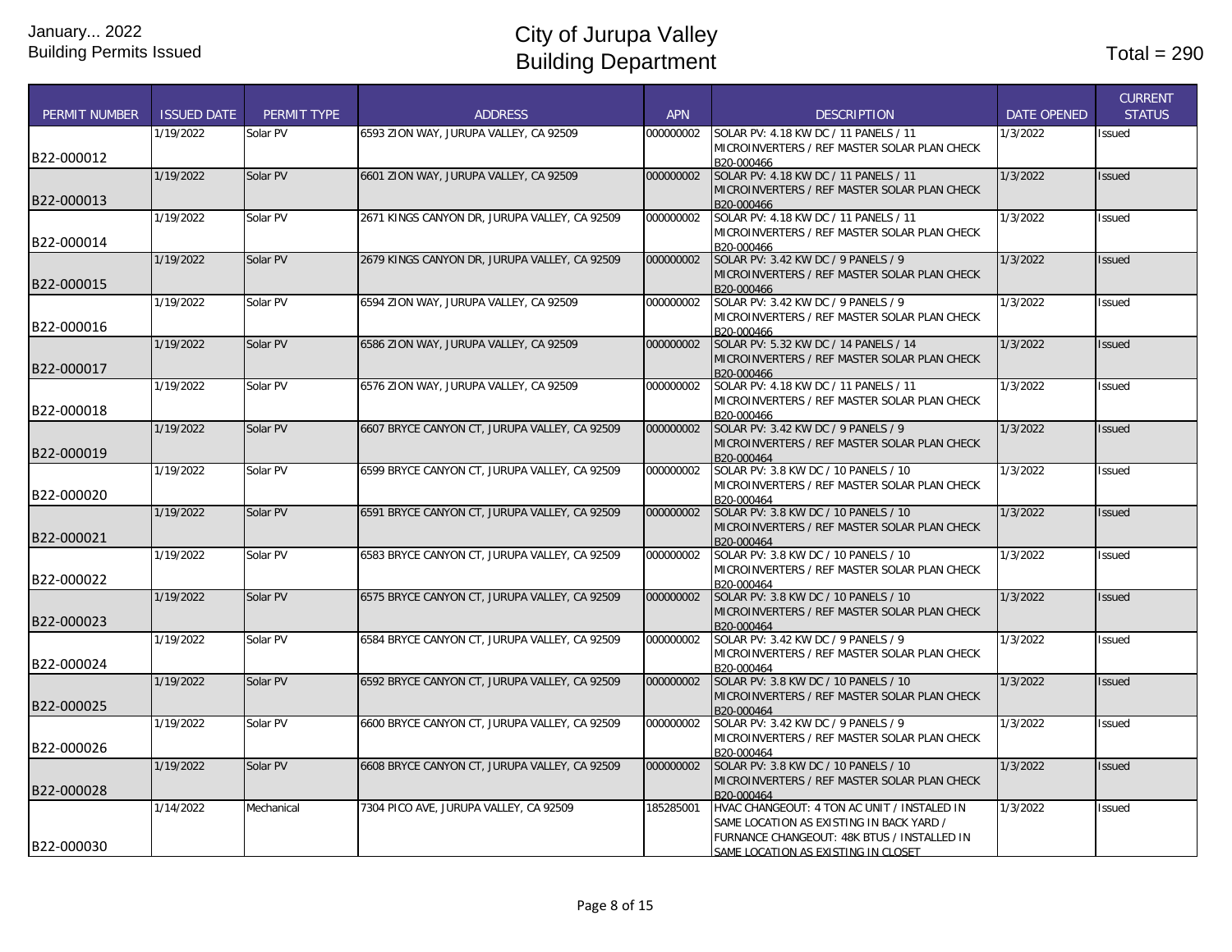| <b>PERMIT NUMBER</b> | <b>ISSUED DATE</b> | <b>PERMIT TYPE</b> | <b>ADDRESS</b>                                | <b>APN</b> | <b>DESCRIPTION</b>                                                                                                                                                            | <b>DATE OPENED</b> | <b>CURRENT</b><br><b>STATUS</b> |
|----------------------|--------------------|--------------------|-----------------------------------------------|------------|-------------------------------------------------------------------------------------------------------------------------------------------------------------------------------|--------------------|---------------------------------|
| B22-000012           | 1/19/2022          | Solar PV           | 6593 ZION WAY, JURUPA VALLEY, CA 92509        | 000000002  | SOLAR PV: 4.18 KW DC / 11 PANELS / 11<br>MICROINVERTERS / REF MASTER SOLAR PLAN CHECK<br>B20-000466                                                                           | 1/3/2022           | Issued                          |
| B22-000013           | 1/19/2022          | Solar PV           | 6601 ZION WAY, JURUPA VALLEY, CA 92509        | 000000002  | SOLAR PV: 4.18 KW DC / 11 PANELS / 11<br>MICROINVERTERS / REF MASTER SOLAR PLAN CHECK<br>B20-000466                                                                           | 1/3/2022           | <b>Issued</b>                   |
| B22-000014           | 1/19/2022          | Solar PV           | 2671 KINGS CANYON DR, JURUPA VALLEY, CA 92509 | 000000002  | SOLAR PV: 4.18 KW DC / 11 PANELS / 11<br>MICROINVERTERS / REF MASTER SOLAR PLAN CHECK<br>B20-000466                                                                           | 1/3/2022           | <b>Issued</b>                   |
| B22-000015           | 1/19/2022          | Solar PV           | 2679 KINGS CANYON DR, JURUPA VALLEY, CA 92509 | 000000002  | SOLAR PV: 3.42 KW DC / 9 PANELS / 9<br>MICROINVERTERS / REF MASTER SOLAR PLAN CHECK<br>B20-000466                                                                             | 1/3/2022           | <b>Issued</b>                   |
| B22-000016           | 1/19/2022          | Solar PV           | 6594 ZION WAY, JURUPA VALLEY, CA 92509        | 000000002  | SOLAR PV: 3.42 KW DC / 9 PANELS / 9<br>MICROINVERTERS / REF MASTER SOLAR PLAN CHECK<br>B20-000466                                                                             | 1/3/2022           | Issued                          |
| B22-000017           | 1/19/2022          | Solar PV           | 6586 ZION WAY, JURUPA VALLEY, CA 92509        | 000000002  | SOLAR PV: 5.32 KW DC / 14 PANELS / 14<br>MICROINVERTERS / REF MASTER SOLAR PLAN CHECK<br>B20-000466                                                                           | 1/3/2022           | <b>Issued</b>                   |
| B22-000018           | 1/19/2022          | Solar PV           | 6576 ZION WAY, JURUPA VALLEY, CA 92509        | 000000002  | SOLAR PV: 4.18 KW DC / 11 PANELS / 11<br>MICROINVERTERS / REF MASTER SOLAR PLAN CHECK<br>B20-000466                                                                           | 1/3/2022           | <b>Issued</b>                   |
| B22-000019           | 1/19/2022          | Solar PV           | 6607 BRYCE CANYON CT, JURUPA VALLEY, CA 92509 | 000000002  | SOLAR PV: 3.42 KW DC / 9 PANELS / 9<br>MICROINVERTERS / REF MASTER SOLAR PLAN CHECK<br>B20-000464                                                                             | 1/3/2022           | Issued                          |
| B22-000020           | 1/19/2022          | Solar PV           | 6599 BRYCE CANYON CT, JURUPA VALLEY, CA 92509 | 000000002  | SOLAR PV: 3.8 KW DC / 10 PANELS / 10<br>MICROINVERTERS / REF MASTER SOLAR PLAN CHECK<br>B20-000464                                                                            | 1/3/2022           | <b>Issued</b>                   |
| B22-000021           | 1/19/2022          | Solar PV           | 6591 BRYCE CANYON CT, JURUPA VALLEY, CA 92509 | 000000002  | SOLAR PV: 3.8 KW DC / 10 PANELS / 10<br>MICROINVERTERS / REF MASTER SOLAR PLAN CHECK<br>B20-000464                                                                            | 1/3/2022           | <b>Issued</b>                   |
| B22-000022           | 1/19/2022          | Solar PV           | 6583 BRYCE CANYON CT, JURUPA VALLEY, CA 92509 | 000000002  | SOLAR PV: 3.8 KW DC / 10 PANELS / 10<br>MICROINVERTERS / REF MASTER SOLAR PLAN CHECK<br>B20-000464                                                                            | 1/3/2022           | Issued                          |
| B22-000023           | 1/19/2022          | Solar PV           | 6575 BRYCE CANYON CT. JURUPA VALLEY. CA 92509 | 000000002  | SOLAR PV: 3.8 KW DC / 10 PANELS / 10<br>MICROINVERTERS / REF MASTER SOLAR PLAN CHECK<br>B20-000464                                                                            | 1/3/2022           | <b>Issued</b>                   |
| B22-000024           | 1/19/2022          | Solar PV           | 6584 BRYCE CANYON CT, JURUPA VALLEY, CA 92509 | 000000002  | SOLAR PV: 3.42 KW DC / 9 PANELS / 9<br>MICROINVERTERS / REF MASTER SOLAR PLAN CHECK<br>B20-000464                                                                             | 1/3/2022           | Issued                          |
| B22-000025           | 1/19/2022          | Solar PV           | 6592 BRYCE CANYON CT, JURUPA VALLEY, CA 92509 | 000000002  | SOLAR PV: 3.8 KW DC / 10 PANELS / 10<br>MICROINVERTERS / REF MASTER SOLAR PLAN CHECK<br>B20-000464                                                                            | 1/3/2022           | <b>Issued</b>                   |
| B22-000026           | 1/19/2022          | Solar PV           | 6600 BRYCE CANYON CT, JURUPA VALLEY, CA 92509 | 000000002  | SOLAR PV: 3.42 KW DC / 9 PANELS / 9<br>MICROINVERTERS / REF MASTER SOLAR PLAN CHECK<br>B20-000464                                                                             | 1/3/2022           | Issued                          |
| B22-000028           | 1/19/2022          | Solar PV           | 6608 BRYCE CANYON CT, JURUPA VALLEY, CA 92509 | 000000002  | SOLAR PV: 3.8 KW DC / 10 PANELS / 10<br>MICROINVERTERS / REF MASTER SOLAR PLAN CHECK<br>B20-000464                                                                            | 1/3/2022           | <b>Issued</b>                   |
| B22-000030           | 1/14/2022          | Mechanical         | 7304 PICO AVE, JURUPA VALLEY, CA 92509        | 185285001  | HVAC CHANGEOUT: 4 TON AC UNIT / INSTALED IN<br>SAME LOCATION AS EXISTING IN BACK YARD /<br>FURNANCE CHANGEOUT: 48K BTUS / INSTALLED IN<br>SAME LOCATION AS EXISTING IN CLOSET | 1/3/2022           | Issued                          |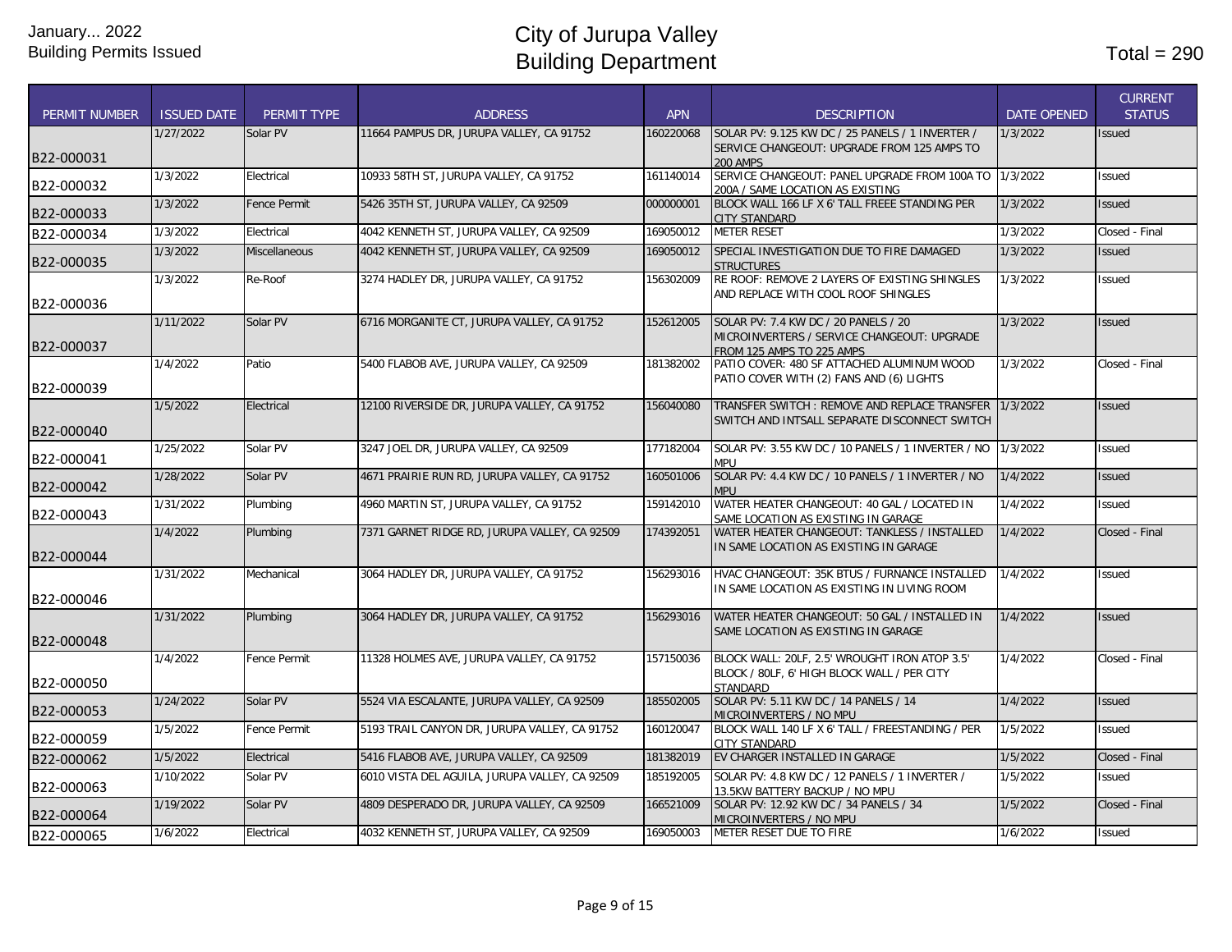|                      |                    |                      |                                                |            |                                                                                               |                    | <b>CURRENT</b> |
|----------------------|--------------------|----------------------|------------------------------------------------|------------|-----------------------------------------------------------------------------------------------|--------------------|----------------|
| <b>PERMIT NUMBER</b> | <b>ISSUED DATE</b> | PERMIT TYPE          | <b>ADDRESS</b>                                 | <b>APN</b> | <b>DESCRIPTION</b>                                                                            | <b>DATE OPENED</b> | <b>STATUS</b>  |
|                      | 1/27/2022          | Solar PV             | 11664 PAMPUS DR, JURUPA VALLEY, CA 91752       | 160220068  | SOLAR PV: 9.125 KW DC / 25 PANELS / 1 INVERTER /                                              | 1/3/2022           | <b>Issued</b>  |
| B22-000031           |                    |                      |                                                |            | SERVICE CHANGEOUT: UPGRADE FROM 125 AMPS TO<br><b>200 AMPS</b>                                |                    |                |
|                      | 1/3/2022           | Electrical           | 10933 58TH ST, JURUPA VALLEY, CA 91752         | 161140014  | SERVICE CHANGEOUT: PANEL UPGRADE FROM 100A TO 1/3/2022                                        |                    | <b>Issued</b>  |
| B22-000032           |                    |                      |                                                |            | 200A / SAME LOCATION AS EXISTING                                                              |                    |                |
| B22-000033           | 1/3/2022           | <b>Fence Permit</b>  | 5426 35TH ST. JURUPA VALLEY. CA 92509          | 000000001  | BLOCK WALL 166 LF X 6' TALL FREEE STANDING PER                                                | 1/3/2022           | <b>Issued</b>  |
|                      | 1/3/2022           | Electrical           | 4042 KENNETH ST, JURUPA VALLEY, CA 92509       | 169050012  | CITY STANDARD<br><b>METER RESET</b>                                                           | 1/3/2022           | Closed - Final |
| B22-000034           |                    |                      |                                                |            |                                                                                               |                    |                |
| B22-000035           | 1/3/2022           | <b>Miscellaneous</b> | 4042 KENNETH ST, JURUPA VALLEY, CA 92509       | 169050012  | SPECIAL INVESTIGATION DUE TO FIRE DAMAGED<br><b>STRUCTURES</b>                                | 1/3/2022           | <b>Issued</b>  |
|                      | 1/3/2022           | Re-Roof              | 3274 HADLEY DR. JURUPA VALLEY. CA 91752        | 156302009  | RE ROOF: REMOVE 2 LAYERS OF EXISTING SHINGLES                                                 | 1/3/2022           | <b>Issued</b>  |
|                      |                    |                      |                                                |            | AND REPLACE WITH COOL ROOF SHINGLES                                                           |                    |                |
| B22-000036           |                    |                      |                                                |            |                                                                                               |                    |                |
|                      | 1/11/2022          | Solar PV             | 6716 MORGANITE CT, JURUPA VALLEY, CA 91752     | 152612005  | SOLAR PV: 7.4 KW DC / 20 PANELS / 20                                                          | 1/3/2022           | <b>Issued</b>  |
| B22-000037           |                    |                      |                                                |            | MICROINVERTERS / SERVICE CHANGEOUT: UPGRADE<br>FROM 125 AMPS TO 225 AMPS                      |                    |                |
|                      | 1/4/2022           | Patio                | 5400 FLABOB AVE, JURUPA VALLEY, CA 92509       | 181382002  | PATIO COVER: 480 SF ATTACHED ALUMINUM WOOD                                                    | 1/3/2022           | Closed - Final |
|                      |                    |                      |                                                |            | PATIO COVER WITH (2) FANS AND (6) LIGHTS                                                      |                    |                |
| B22-000039           |                    |                      |                                                |            |                                                                                               | 1/3/2022           |                |
|                      | 1/5/2022           | Electrical           | 12100 RIVERSIDE DR, JURUPA VALLEY, CA 91752    | 156040080  | TRANSFER SWITCH: REMOVE AND REPLACE TRANSFER<br>SWITCH AND INTSALL SEPARATE DISCONNECT SWITCH |                    | <b>Issued</b>  |
| B22-000040           |                    |                      |                                                |            |                                                                                               |                    |                |
|                      | 1/25/2022          | Solar PV             | 3247 JOEL DR, JURUPA VALLEY, CA 92509          | 177182004  | SOLAR PV: 3.55 KW DC / 10 PANELS / 1 INVERTER / NO 1/3/2022                                   |                    | <b>Issued</b>  |
| B22-000041           |                    |                      |                                                |            | <b>MPU</b>                                                                                    |                    |                |
| B22-000042           | 1/28/2022          | Solar PV             | 4671 PRAIRIE RUN RD. JURUPA VALLEY. CA 91752   | 160501006  | SOLAR PV: 4.4 KW DC / 10 PANELS / 1 INVERTER / NO<br>MPU                                      | 1/4/2022           | <b>Issued</b>  |
|                      | 1/31/2022          | Plumbing             | 4960 MARTIN ST, JURUPA VALLEY, CA 91752        | 159142010  | WATER HEATER CHANGEOUT: 40 GAL / LOCATED IN                                                   | 1/4/2022           | <b>Issued</b>  |
| B22-000043           |                    |                      |                                                |            | SAME LOCATION AS EXISTING IN GARAGE                                                           |                    |                |
|                      | 1/4/2022           | Plumbing             | 7371 GARNET RIDGE RD, JURUPA VALLEY, CA 92509  | 174392051  | WATER HEATER CHANGEOUT: TANKLESS / INSTALLED                                                  | 1/4/2022           | Closed - Final |
| B22-000044           |                    |                      |                                                |            | IN SAME LOCATION AS EXISTING IN GARAGE                                                        |                    |                |
|                      | 1/31/2022          | Mechanical           | 3064 HADLEY DR. JURUPA VALLEY. CA 91752        | 156293016  | HVAC CHANGEOUT: 35K BTUS / FURNANCE INSTALLED                                                 | 1/4/2022           | <b>Issued</b>  |
|                      |                    |                      |                                                |            | IN SAME LOCATION AS EXISTING IN LIVING ROOM                                                   |                    |                |
| B22-000046           |                    |                      |                                                |            |                                                                                               |                    |                |
|                      | 1/31/2022          | Plumbing             | 3064 HADLEY DR, JURUPA VALLEY, CA 91752        | 156293016  | WATER HEATER CHANGEOUT: 50 GAL / INSTALLED IN<br>SAME LOCATION AS EXISTING IN GARAGE          | 1/4/2022           | <b>Issued</b>  |
| B22-000048           |                    |                      |                                                |            |                                                                                               |                    |                |
|                      | 1/4/2022           | Fence Permit         | 11328 HOLMES AVE, JURUPA VALLEY, CA 91752      | 157150036  | BLOCK WALL: 20LF. 2.5' WROUGHT IRON ATOP 3.5'                                                 | 1/4/2022           | Closed - Final |
| B22-000050           |                    |                      |                                                |            | BLOCK / 80LF. 6' HIGH BLOCK WALL / PER CITY                                                   |                    |                |
|                      | 1/24/2022          | Solar PV             | 5524 VIA ESCALANTE, JURUPA VALLEY, CA 92509    | 185502005  | <b>STANDARD</b><br>SOLAR PV: 5.11 KW DC / 14 PANELS / 14                                      | 1/4/2022           | <b>Issued</b>  |
| B22-000053           |                    |                      |                                                |            | MICROINVERTERS / NO MPU                                                                       |                    |                |
|                      | 1/5/2022           | Fence Permit         | 5193 TRAIL CANYON DR, JURUPA VALLEY, CA 91752  | 160120047  | BLOCK WALL 140 LF X 6' TALL / FREESTANDING / PER                                              | 1/5/2022           | <b>Issued</b>  |
| B22-000059           |                    |                      |                                                |            | CITY STANDARD                                                                                 |                    |                |
| B22-000062           | 1/5/2022           | Electrical           | 5416 FLABOB AVE, JURUPA VALLEY, CA 92509       | 181382019  | EV CHARGER INSTALLED IN GARAGE                                                                | 1/5/2022           | Closed - Final |
| B22-000063           | 1/10/2022          | Solar PV             | 6010 VISTA DEL AGUILA, JURUPA VALLEY, CA 92509 | 185192005  | SOLAR PV: 4.8 KW DC / 12 PANELS / 1 INVERTER /                                                | 1/5/2022           | <b>Issued</b>  |
|                      | 1/19/2022          | Solar PV             | 4809 DESPERADO DR, JURUPA VALLEY, CA 92509     | 166521009  | 13.5KW BATTERY BACKUP / NO MPU<br>SOLAR PV: 12.92 KW DC / 34 PANELS / 34                      | 1/5/2022           | Closed - Final |
| B22-000064           |                    |                      |                                                |            | MICROINVERTERS / NO MPU                                                                       |                    |                |
| B22-000065           | 1/6/2022           | Electrical           | 4032 KENNETH ST. JURUPA VALLEY. CA 92509       | 169050003  | METER RESET DUE TO FIRE                                                                       | 1/6/2022           | <b>Issued</b>  |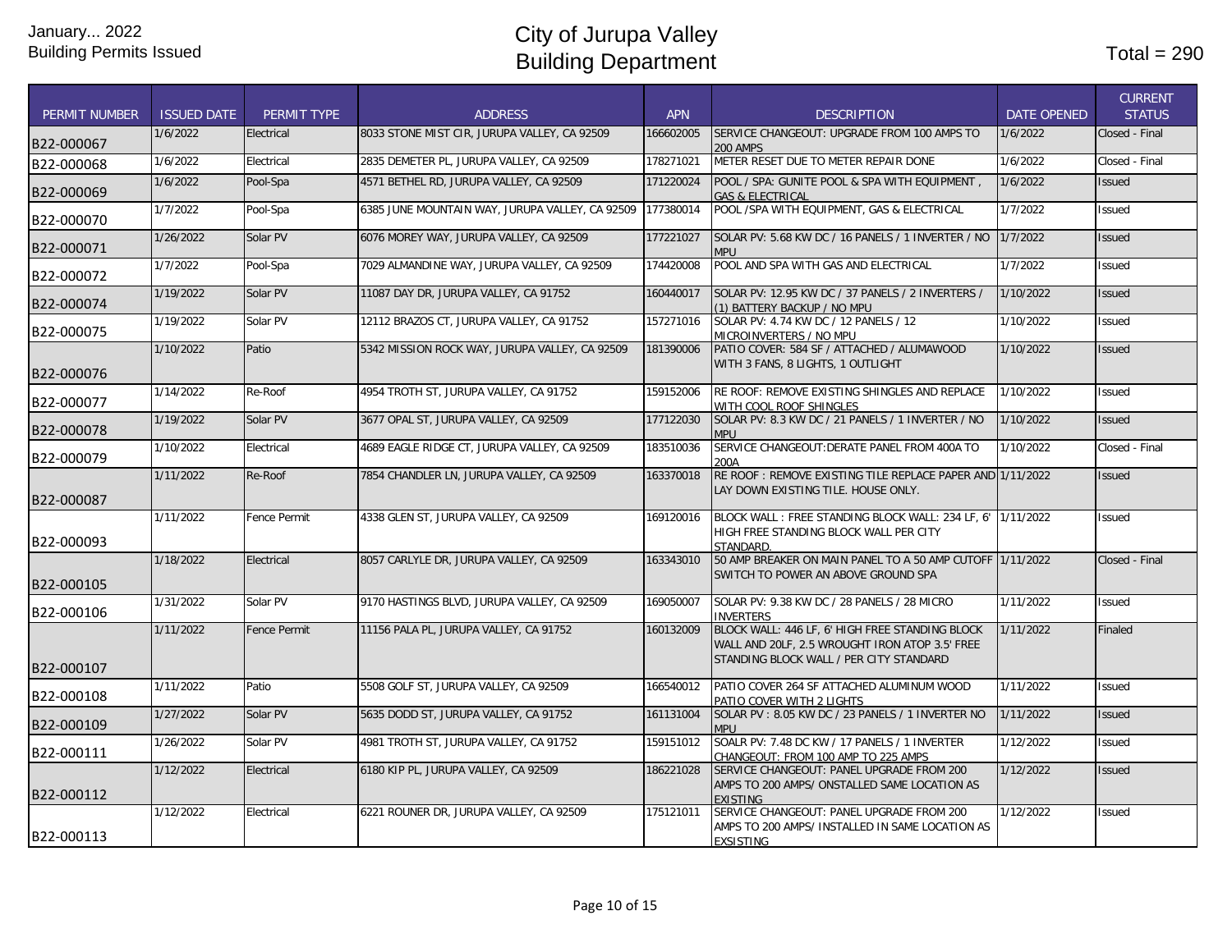| <b>PERMIT NUMBER</b> | <b>ISSUED DATE</b> | PERMIT TYPE         | <b>ADDRESS</b>                                  | <b>APN</b> | <b>DESCRIPTION</b>                                                                                                                           | <b>DATE OPENED</b> | <b>CURRENT</b><br><b>STATUS</b> |
|----------------------|--------------------|---------------------|-------------------------------------------------|------------|----------------------------------------------------------------------------------------------------------------------------------------------|--------------------|---------------------------------|
|                      |                    |                     |                                                 |            |                                                                                                                                              |                    |                                 |
| B22-000067           | 1/6/2022           | Electrical          | 8033 STONE MIST CIR, JURUPA VALLEY, CA 92509    | 166602005  | SERVICE CHANGEOUT: UPGRADE FROM 100 AMPS TO<br><b>200 AMPS</b>                                                                               | 1/6/2022           | Closed - Final                  |
| B22-000068           | 1/6/2022           | Electrical          | 2835 DEMETER PL, JURUPA VALLEY, CA 92509        | 178271021  | METER RESET DUE TO METER REPAIR DONE                                                                                                         | 1/6/2022           | Closed - Final                  |
| B22-000069           | 1/6/2022           | Pool-Spa            | 4571 BETHEL RD, JURUPA VALLEY, CA 92509         | 171220024  | POOL / SPA: GUNITE POOL & SPA WITH EQUIPMENT.<br><b>GAS &amp; ELECTRICAL</b>                                                                 | 1/6/2022           | <b>Issued</b>                   |
| B22-000070           | 1/7/2022           | Pool-Spa            | 6385 JUNE MOUNTAIN WAY, JURUPA VALLEY, CA 92509 | 177380014  | POOL /SPA WITH EQUIPMENT, GAS & ELECTRICAL                                                                                                   | 1/7/2022           | Issued                          |
| B22-000071           | 1/26/2022          | Solar PV            | 6076 MOREY WAY, JURUPA VALLEY, CA 92509         | 177221027  | SOLAR PV: 5.68 KW DC / 16 PANELS / 1 INVERTER / NO<br>MPU                                                                                    | 1/7/2022           | <b>Issued</b>                   |
| B22-000072           | 1/7/2022           | Pool-Spa            | 7029 ALMANDINE WAY, JURUPA VALLEY, CA 92509     | 174420008  | POOL AND SPA WITH GAS AND ELECTRICAL                                                                                                         | 1/7/2022           | <b>Issued</b>                   |
| B22-000074           | 1/19/2022          | Solar PV            | 11087 DAY DR, JURUPA VALLEY, CA 91752           | 160440017  | SOLAR PV: 12.95 KW DC / 37 PANELS / 2 INVERTERS /<br>(1) BATTERY BACKUP / NO MPU                                                             | 1/10/2022          | <b>Issued</b>                   |
| B22-000075           | 1/19/2022          | Solar PV            | 12112 BRAZOS CT, JURUPA VALLEY, CA 91752        | 157271016  | SOLAR PV: 4.74 KW DC / 12 PANELS / 12<br>MICROINVERTERS / NO MPU                                                                             | 1/10/2022          | Issued                          |
| B22-000076           | 1/10/2022          | Patio               | 5342 MISSION ROCK WAY, JURUPA VALLEY, CA 92509  | 181390006  | PATIO COVER: 584 SF / ATTACHED / ALUMAWOOD<br>WITH 3 FANS, 8 LIGHTS, 1 OUTLIGHT                                                              | 1/10/2022          | <b>Issued</b>                   |
| B22-000077           | 1/14/2022          | Re-Roof             | 4954 TROTH ST, JURUPA VALLEY, CA 91752          | 159152006  | RE ROOF: REMOVE EXISTING SHINGLES AND REPLACE<br>WITH COOL ROOF SHINGLES                                                                     | 1/10/2022          | Issued                          |
| B22-000078           | 1/19/2022          | Solar PV            | 3677 OPAL ST, JURUPA VALLEY, CA 92509           | 177122030  | SOLAR PV: 8.3 KW DC / 21 PANELS / 1 INVERTER / NO<br><b>MPU</b>                                                                              | 1/10/2022          | <b>Issued</b>                   |
| B22-000079           | 1/10/2022          | Electrical          | 4689 EAGLE RIDGE CT, JURUPA VALLEY, CA 92509    | 183510036  | SERVICE CHANGEOUT: DERATE PANEL FROM 400A TO<br>200A                                                                                         | 1/10/2022          | Closed - Final                  |
| B22-000087           | 1/11/2022          | Re-Roof             | 7854 CHANDLER LN, JURUPA VALLEY, CA 92509       | 163370018  | RE ROOF: REMOVE EXISTING TILE REPLACE PAPER AND 1/11/2022<br>LAY DOWN EXISTING TILE. HOUSE ONLY.                                             |                    | <b>Issued</b>                   |
| B22-000093           | 1/11/2022          | Fence Permit        | 4338 GLEN ST, JURUPA VALLEY, CA 92509           | 169120016  | BLOCK WALL: FREE STANDING BLOCK WALL: 234 LF, 6' 1/11/2022<br>HIGH FREE STANDING BLOCK WALL PER CITY<br>STANDARD.                            |                    | Issued                          |
| B22-000105           | 1/18/2022          | Electrical          | 8057 CARLYLE DR, JURUPA VALLEY, CA 92509        | 163343010  | 50 AMP BREAKER ON MAIN PANEL TO A 50 AMP CUTOFF 1/11/2022<br>SWITCH TO POWER AN ABOVE GROUND SPA                                             |                    | Closed - Final                  |
| B22-000106           | 1/31/2022          | Solar PV            | 9170 HASTINGS BLVD. JURUPA VALLEY. CA 92509     | 169050007  | SOLAR PV: 9.38 KW DC / 28 PANELS / 28 MICRO<br><b>INVERTERS</b>                                                                              | 1/11/2022          | <b>Issued</b>                   |
| B22-000107           | 1/11/2022          | <b>Fence Permit</b> | 11156 PALA PL, JURUPA VALLEY, CA 91752          | 160132009  | BLOCK WALL: 446 LF, 6' HIGH FREE STANDING BLOCK<br>WALL AND 20LF, 2.5 WROUGHT IRON ATOP 3.5' FREE<br>STANDING BLOCK WALL / PER CITY STANDARD | 1/11/2022          | Finaled                         |
| B22-000108           | 1/11/2022          | Patio               | 5508 GOLF ST, JURUPA VALLEY, CA 92509           | 166540012  | PATIO COVER 264 SF ATTACHED ALUMINUM WOOD                                                                                                    | 1/11/2022          | <b>Issued</b>                   |
| B22-000109           | 1/27/2022          | Solar PV            | 5635 DODD ST, JURUPA VALLEY, CA 91752           | 161131004  | PATIO COVER WITH 2 LIGHTS<br>SOLAR PV: 8.05 KW DC / 23 PANELS / 1 INVERTER NO                                                                | 1/11/2022          | <b>Issued</b>                   |
| B22-000111           | 1/26/2022          | Solar PV            | 4981 TROTH ST, JURUPA VALLEY, CA 91752          | 159151012  | <b>MPU</b><br>SOALR PV: 7.48 DC KW / 17 PANELS / 1 INVERTER                                                                                  | 1/12/2022          | <b>Issued</b>                   |
| B22-000112           | 1/12/2022          | Electrical          | 6180 KIP PL, JURUPA VALLEY, CA 92509            | 186221028  | CHANGEOUT: FROM 100 AMP TO 225 AMPS<br>SERVICE CHANGEOUT: PANEL UPGRADE FROM 200<br>AMPS TO 200 AMPS/ ONSTALLED SAME LOCATION AS             | 1/12/2022          | <b>Issued</b>                   |
| B22-000113           | 1/12/2022          | Electrical          | 6221 ROUNER DR, JURUPA VALLEY, CA 92509         | 175121011  | <b>EXISTING</b><br>SERVICE CHANGEOUT: PANEL UPGRADE FROM 200<br>AMPS TO 200 AMPS/ INSTALLED IN SAME LOCATION AS<br><b>EXSISTING</b>          | 1/12/2022          | <b>Issued</b>                   |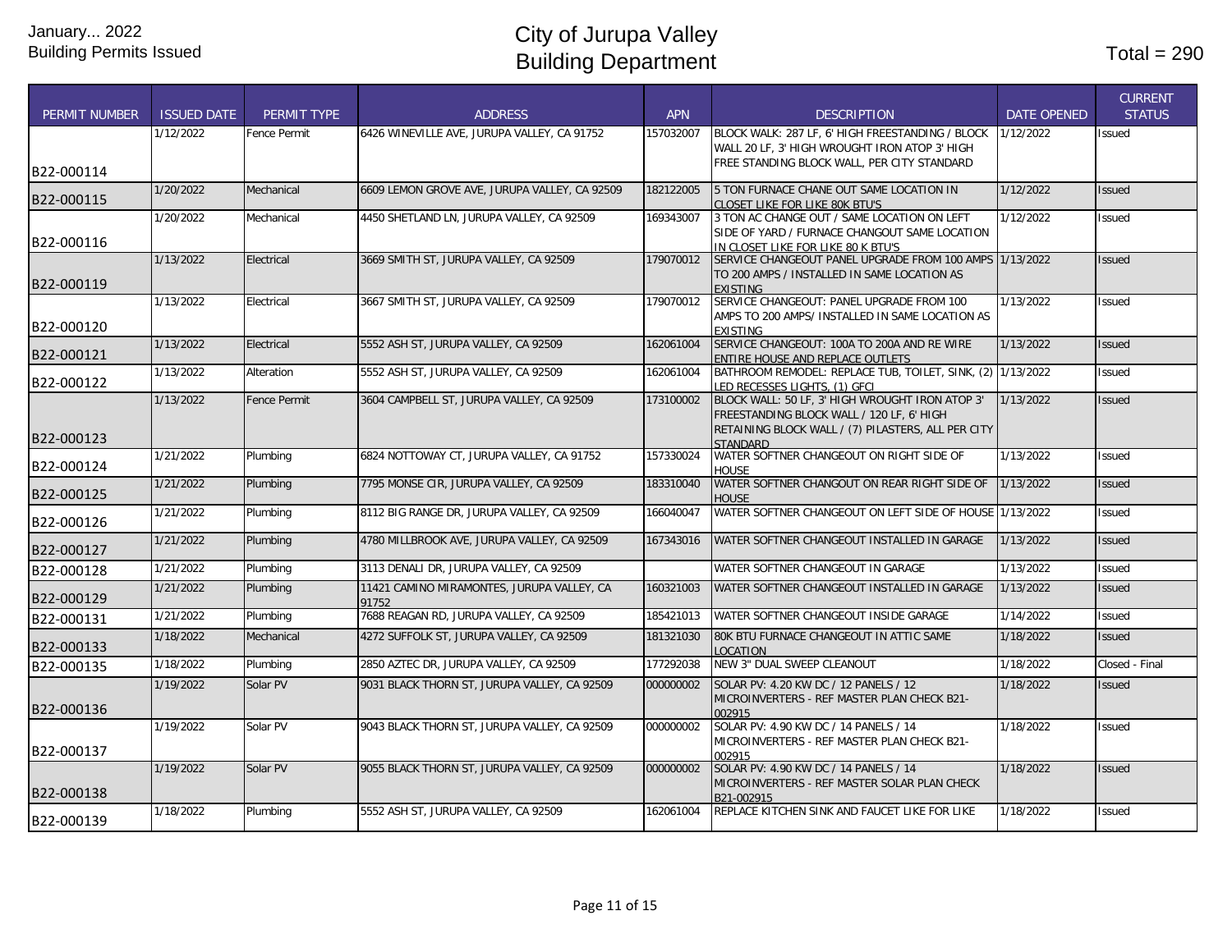| <b>PERMIT NUMBER</b> | <b>ISSUED DATE</b> | <b>PERMIT TYPE</b>  | <b>ADDRESS</b>                                | <b>APN</b> | <b>DESCRIPTION</b>                                                                             | <b>DATE OPENED</b> | <b>CURRENT</b><br><b>STATUS</b> |
|----------------------|--------------------|---------------------|-----------------------------------------------|------------|------------------------------------------------------------------------------------------------|--------------------|---------------------------------|
|                      | 1/12/2022          | Fence Permit        | 6426 WINEVILLE AVE, JURUPA VALLEY, CA 91752   | 157032007  | BLOCK WALK: 287 LF, 6' HIGH FREESTANDING / BLOCK                                               | 1/12/2022          | Issued                          |
|                      |                    |                     |                                               |            | WALL 20 LF, 3' HIGH WROUGHT IRON ATOP 3' HIGH                                                  |                    |                                 |
| B22-000114           |                    |                     |                                               |            | FREE STANDING BLOCK WALL, PER CITY STANDARD                                                    |                    |                                 |
| B22-000115           | 1/20/2022          | Mechanical          | 6609 LEMON GROVE AVE, JURUPA VALLEY, CA 92509 | 182122005  | 5 TON FURNACE CHANE OUT SAME LOCATION IN                                                       | 1/12/2022          | <b>Issued</b>                   |
|                      | 1/20/2022          | Mechanical          | 4450 SHETLAND LN, JURUPA VALLEY, CA 92509     | 169343007  | <b>CLOSET LIKE FOR LIKE 80K BTU'S</b><br>3 TON AC CHANGE OUT / SAME LOCATION ON LEFT           | 1/12/2022          | <b>Issued</b>                   |
|                      |                    |                     |                                               |            | SIDE OF YARD / FURNACE CHANGOUT SAME LOCATION                                                  |                    |                                 |
| B22-000116           |                    |                     |                                               |            | IN CLOSET LIKE FOR LIKE 80 K BTU'S                                                             |                    |                                 |
|                      | 1/13/2022          | Electrical          | 3669 SMITH ST, JURUPA VALLEY, CA 92509        | 179070012  | SERVICE CHANGEOUT PANEL UPGRADE FROM 100 AMPS 1/13/2022                                        |                    | <b>Issued</b>                   |
|                      |                    |                     |                                               |            | TO 200 AMPS / INSTALLED IN SAME LOCATION AS                                                    |                    |                                 |
| B22-000119           |                    |                     |                                               |            | <b>EXISTING</b>                                                                                |                    |                                 |
|                      | 1/13/2022          | Electrical          | 3667 SMITH ST, JURUPA VALLEY, CA 92509        | 179070012  | SERVICE CHANGEOUT: PANEL UPGRADE FROM 100                                                      | 1/13/2022          | <b>Issued</b>                   |
| B22-000120           |                    |                     |                                               |            | AMPS TO 200 AMPS/ INSTALLED IN SAME LOCATION AS                                                |                    |                                 |
|                      |                    |                     |                                               |            | <b>EXISTING</b>                                                                                |                    |                                 |
| B22-000121           | 1/13/2022          | Electrical          | 5552 ASH ST, JURUPA VALLEY, CA 92509          | 162061004  | SERVICE CHANGEOUT: 100A TO 200A AND RE WIRE                                                    | 1/13/2022          | <b>Issued</b>                   |
|                      | 1/13/2022          | Alteration          | 5552 ASH ST. JURUPA VALLEY. CA 92509          | 162061004  | ENTIRE HOUSE AND REPLACE OUTLETS<br>BATHROOM REMODEL: REPLACE TUB. TOILET. SINK. (2) 1/13/2022 |                    | Issued                          |
| B22-000122           |                    |                     |                                               |            | LED RECESSES LIGHTS. (1) GFCI                                                                  |                    |                                 |
|                      | 1/13/2022          | <b>Fence Permit</b> | 3604 CAMPBELL ST, JURUPA VALLEY, CA 92509     | 173100002  | BLOCK WALL: 50 LF, 3' HIGH WROUGHT IRON ATOP 3'                                                | 1/13/2022          | <b>Issued</b>                   |
|                      |                    |                     |                                               |            | FREESTANDING BLOCK WALL / 120 LF, 6' HIGH                                                      |                    |                                 |
|                      |                    |                     |                                               |            | RETAINING BLOCK WALL / (7) PILASTERS, ALL PER CITY                                             |                    |                                 |
| B22-000123           |                    |                     |                                               |            | <b>STANDARD</b>                                                                                |                    |                                 |
|                      | 1/21/2022          | Plumbing            | 6824 NOTTOWAY CT. JURUPA VALLEY. CA 91752     | 157330024  | WATER SOFTNER CHANGEOUT ON RIGHT SIDE OF                                                       | 1/13/2022          | <b>Issued</b>                   |
| B22-000124           |                    |                     |                                               |            | <b>HOUSE</b>                                                                                   |                    |                                 |
| B22-000125           | 1/21/2022          | Plumbing            | 7795 MONSE CIR, JURUPA VALLEY, CA 92509       | 183310040  | WATER SOFTNER CHANGOUT ON REAR RIGHT SIDE OF                                                   | 1/13/2022          | <b>Issued</b>                   |
|                      | 1/21/2022          | Plumbing            | 8112 BIG RANGE DR, JURUPA VALLEY, CA 92509    | 166040047  | <b>HOUSE</b><br>WATER SOFTNER CHANGEOUT ON LEFT SIDE OF HOUSE 1/13/2022                        |                    | Issued                          |
| B22-000126           |                    |                     |                                               |            |                                                                                                |                    |                                 |
|                      | 1/21/2022          | Plumbing            | 4780 MILLBROOK AVE, JURUPA VALLEY, CA 92509   | 167343016  | WATER SOFTNER CHANGEOUT INSTALLED IN GARAGE                                                    | 1/13/2022          | <b>Issued</b>                   |
| B22-000127           |                    |                     |                                               |            |                                                                                                |                    |                                 |
| B22-000128           | 1/21/2022          | Plumbing            | 3113 DENALI DR, JURUPA VALLEY, CA 92509       |            | WATER SOFTNER CHANGEOUT IN GARAGE                                                              | 1/13/2022          | Issued                          |
|                      | 1/21/2022          | Plumbing            | 11421 CAMINO MIRAMONTES, JURUPA VALLEY, CA    | 160321003  | WATER SOFTNER CHANGEOUT INSTALLED IN GARAGE                                                    | 1/13/2022          | <b>Issued</b>                   |
| B22-000129           |                    |                     | 91752                                         |            |                                                                                                |                    |                                 |
| B22-000131           | 1/21/2022          | Plumbing            | 7688 REAGAN RD, JURUPA VALLEY, CA 92509       | 185421013  | WATER SOFTNER CHANGEOUT INSIDE GARAGE                                                          | 1/14/2022          | Issued                          |
| B22-000133           | 1/18/2022          | Mechanical          | 4272 SUFFOLK ST, JURUPA VALLEY, CA 92509      | 181321030  | 80K BTU FURNACE CHANGEOUT IN ATTIC SAME<br>LOCATION                                            | 1/18/2022          | <b>Issued</b>                   |
| B22-000135           | 1/18/2022          | Plumbing            | 2850 AZTEC DR, JURUPA VALLEY, CA 92509        | 177292038  | NEW 3" DUAL SWEEP CLEANOUT                                                                     | 1/18/2022          | Closed - Final                  |
|                      | 1/19/2022          | Solar PV            | 9031 BLACK THORN ST, JURUPA VALLEY, CA 92509  | 000000002  | SOLAR PV: 4.20 KW DC / 12 PANELS / 12                                                          | 1/18/2022          | <b>Issued</b>                   |
|                      |                    |                     |                                               |            | MICROINVERTERS - REF MASTER PLAN CHECK B21-                                                    |                    |                                 |
| B22-000136           |                    |                     |                                               |            | 002915                                                                                         |                    |                                 |
|                      | 1/19/2022          | Solar PV            | 9043 BLACK THORN ST, JURUPA VALLEY, CA 92509  | 000000002  | SOLAR PV: 4.90 KW DC / 14 PANELS / 14                                                          | 1/18/2022          | <b>Issued</b>                   |
| B22-000137           |                    |                     |                                               |            | MICROINVERTERS - REF MASTER PLAN CHECK B21-                                                    |                    |                                 |
|                      | 1/19/2022          |                     |                                               | 000000002  | 002915                                                                                         | 1/18/2022          |                                 |
|                      |                    | Solar PV            | 9055 BLACK THORN ST, JURUPA VALLEY, CA 92509  |            | SOLAR PV: 4.90 KW DC / 14 PANELS / 14<br>MICROINVERTERS - REF MASTER SOLAR PLAN CHECK          |                    | <b>Issued</b>                   |
| B22-000138           |                    |                     |                                               |            | B21-002915                                                                                     |                    |                                 |
|                      | 1/18/2022          | Plumbing            | 5552 ASH ST. JURUPA VALLEY. CA 92509          | 162061004  | REPLACE KITCHEN SINK AND FAUCET LIKE FOR LIKE                                                  | 1/18/2022          | <b>Issued</b>                   |
| B22-000139           |                    |                     |                                               |            |                                                                                                |                    |                                 |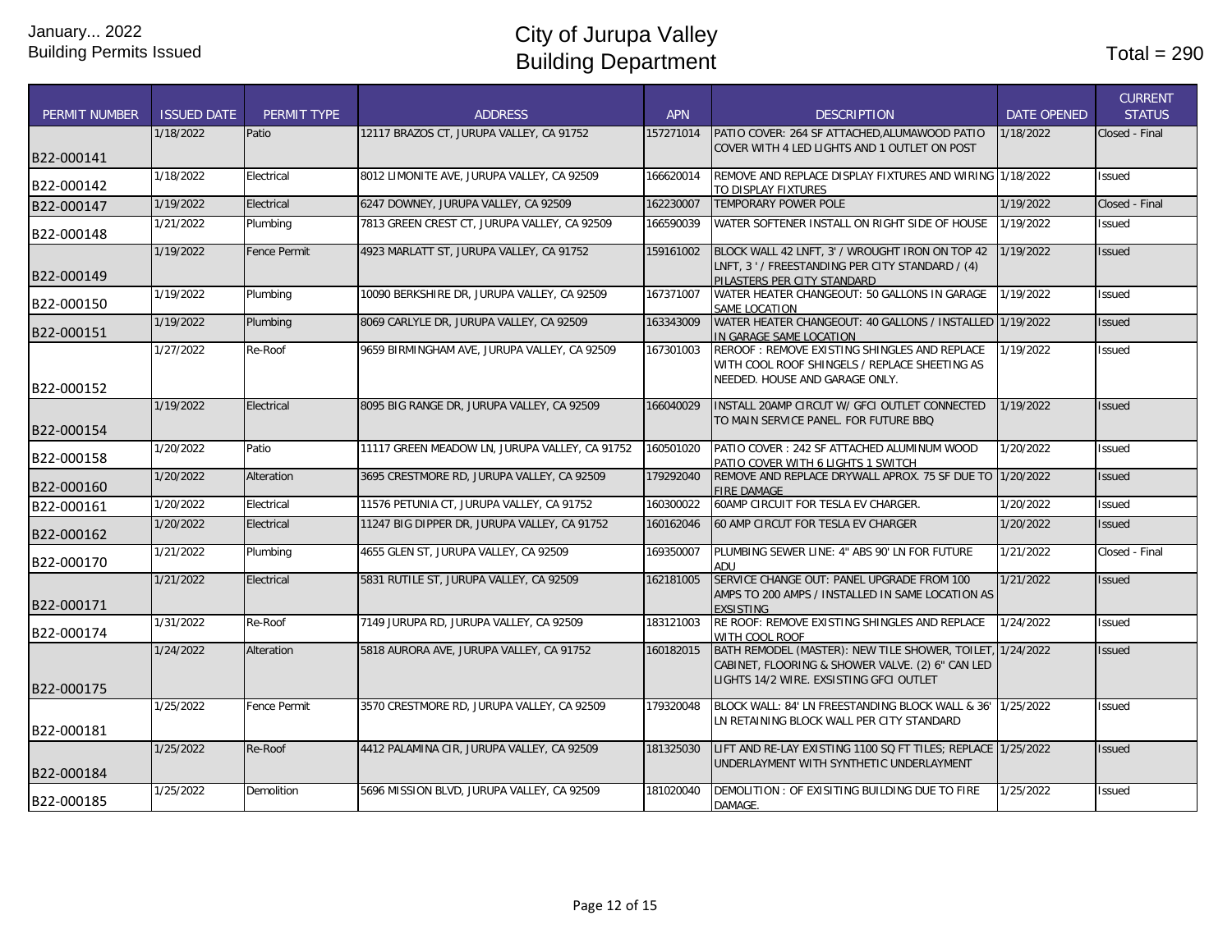| <b>PERMIT NUMBER</b> | <b>ISSUED DATE</b> | <b>PERMIT TYPE</b>  | <b>ADDRESS</b>                                 | <b>APN</b> | <b>DESCRIPTION</b>                                                                                                                                       | <b>DATE OPENED</b> | <b>CURRENT</b><br><b>STATUS</b> |
|----------------------|--------------------|---------------------|------------------------------------------------|------------|----------------------------------------------------------------------------------------------------------------------------------------------------------|--------------------|---------------------------------|
| B22-000141           | 1/18/2022          | Patio               | 12117 BRAZOS CT, JURUPA VALLEY, CA 91752       | 157271014  | PATIO COVER: 264 SF ATTACHED, ALUMAWOOD PATIO<br>COVER WITH 4 LED LIGHTS AND 1 OUTLET ON POST                                                            | 1/18/2022          | Closed - Final                  |
| B22-000142           | 1/18/2022          | Electrical          | 8012 LIMONITE AVE, JURUPA VALLEY, CA 92509     | 166620014  | REMOVE AND REPLACE DISPLAY FIXTURES AND WIRING 1/18/2022<br>TO DISPLAY FIXTURES                                                                          |                    | <b>Issued</b>                   |
| B22-000147           | 1/19/2022          | Electrical          | 6247 DOWNEY, JURUPA VALLEY, CA 92509           | 162230007  | TEMPORARY POWER POLE                                                                                                                                     | 1/19/2022          | Closed - Final                  |
| B22-000148           | 1/21/2022          | Plumbing            | 7813 GREEN CREST CT, JURUPA VALLEY, CA 92509   | 166590039  | WATER SOFTENER INSTALL ON RIGHT SIDE OF HOUSE                                                                                                            | 1/19/2022          | Issued                          |
| B22-000149           | 1/19/2022          | <b>Fence Permit</b> | 4923 MARLATT ST, JURUPA VALLEY, CA 91752       | 159161002  | BLOCK WALL 42 LNFT, 3' / WROUGHT IRON ON TOP 42<br>LNFT, 3 ' / FREESTANDING PER CITY STANDARD / (4)<br>PILASTERS PER CITY STANDARD                       | 1/19/2022          | <b>Issued</b>                   |
| B22-000150           | 1/19/2022          | Plumbing            | 10090 BERKSHIRE DR, JURUPA VALLEY, CA 92509    | 167371007  | WATER HEATER CHANGEOUT: 50 GALLONS IN GARAGE<br>SAME LOCATION                                                                                            | 1/19/2022          | Issued                          |
| B22-000151           | 1/19/2022          | Plumbing            | 8069 CARLYLE DR, JURUPA VALLEY, CA 92509       | 163343009  | WATER HEATER CHANGEOUT: 40 GALLONS / INSTALLED 1/19/2022<br>IN GARAGE SAME LOCATION                                                                      |                    | <b>Issued</b>                   |
| B22-000152           | 1/27/2022          | Re-Roof             | 9659 BIRMINGHAM AVE, JURUPA VALLEY, CA 92509   | 167301003  | REROOF: REMOVE EXISTING SHINGLES AND REPLACE<br>WITH COOL ROOF SHINGELS / REPLACE SHEETING AS<br>NEEDED. HOUSE AND GARAGE ONLY.                          | 1/19/2022          | Issued                          |
| B22-000154           | 1/19/2022          | Electrical          | 8095 BIG RANGE DR, JURUPA VALLEY, CA 92509     | 166040029  | INSTALL 20AMP CIRCUT W/ GFCI OUTLET CONNECTED<br>TO MAIN SERVICE PANEL. FOR FUTURE BBQ                                                                   | 1/19/2022          | <b>Issued</b>                   |
| B22-000158           | 1/20/2022          | Patio               | 11117 GREEN MEADOW LN, JURUPA VALLEY, CA 91752 | 160501020  | PATIO COVER: 242 SF ATTACHED ALUMINUM WOOD<br>PATIO COVER WITH 6 LIGHTS 1 SWITCH                                                                         | 1/20/2022          | Issued                          |
| B22-000160           | 1/20/2022          | Alteration          | 3695 CRESTMORE RD. JURUPA VALLEY, CA 92509     | 179292040  | REMOVE AND REPLACE DRYWALL APROX. 75 SF DUE TO 1/20/2022<br><b>FIRE DAMAGE</b>                                                                           |                    | Issued                          |
| B22-000161           | 1/20/2022          | Electrical          | 11576 PETUNIA CT, JURUPA VALLEY, CA 91752      | 160300022  | 60AMP CIRCUIT FOR TESLA EV CHARGER.                                                                                                                      | 1/20/2022          | Issued                          |
| B22-000162           | 1/20/2022          | Electrical          | 11247 BIG DIPPER DR, JURUPA VALLEY, CA 91752   | 160162046  | 60 AMP CIRCUT FOR TESLA EV CHARGER                                                                                                                       | 1/20/2022          | Issued                          |
| B22-000170           | 1/21/2022          | Plumbing            | 4655 GLEN ST, JURUPA VALLEY, CA 92509          | 169350007  | PLUMBING SEWER LINE: 4" ABS 90' LN FOR FUTURE<br>ADU                                                                                                     | 1/21/2022          | Closed - Final                  |
| B22-000171           | 1/21/2022          | Electrical          | 5831 RUTILE ST, JURUPA VALLEY, CA 92509        | 162181005  | SERVICE CHANGE OUT: PANEL UPGRADE FROM 100<br>AMPS TO 200 AMPS / INSTALLED IN SAME LOCATION AS<br><b>EXSISTING</b>                                       | 1/21/2022          | <b>Issued</b>                   |
| B22-000174           | 1/31/2022          | Re-Roof             | 7149 JURUPA RD, JURUPA VALLEY, CA 92509        | 183121003  | RE ROOF: REMOVE EXISTING SHINGLES AND REPLACE<br>WITH COOL ROOF                                                                                          | 1/24/2022          | Issued                          |
| B22-000175           | 1/24/2022          | Alteration          | 5818 AURORA AVE, JURUPA VALLEY, CA 91752       | 160182015  | BATH REMODEL (MASTER): NEW TILE SHOWER, TOILET, 1/24/2022<br>CABINET, FLOORING & SHOWER VALVE. (2) 6" CAN LED<br>LIGHTS 14/2 WIRE. EXSISTING GFCI OUTLET |                    | <b>Issued</b>                   |
| B22-000181           | 1/25/2022          | <b>Fence Permit</b> | 3570 CRESTMORE RD, JURUPA VALLEY, CA 92509     | 179320048  | BLOCK WALL: 84' LN FREESTANDING BLOCK WALL & 36' 1/25/2022<br>LN RETAINING BLOCK WALL PER CITY STANDARD                                                  |                    | Issued                          |
| B22-000184           | 1/25/2022          | Re-Roof             | 4412 PALAMINA CIR, JURUPA VALLEY, CA 92509     | 181325030  | LIFT AND RE-LAY EXISTING 1100 SQ FT TILES; REPLACE 1/25/2022<br>UNDERLAYMENT WITH SYNTHETIC UNDERLAYMENT                                                 |                    | Issued                          |
| B22-000185           | 1/25/2022          | <b>Demolition</b>   | 5696 MISSION BLVD, JURUPA VALLEY, CA 92509     | 181020040  | DEMOLITION: OF EXISITING BUILDING DUE TO FIRE<br>DAMAGE.                                                                                                 | 1/25/2022          | Issued                          |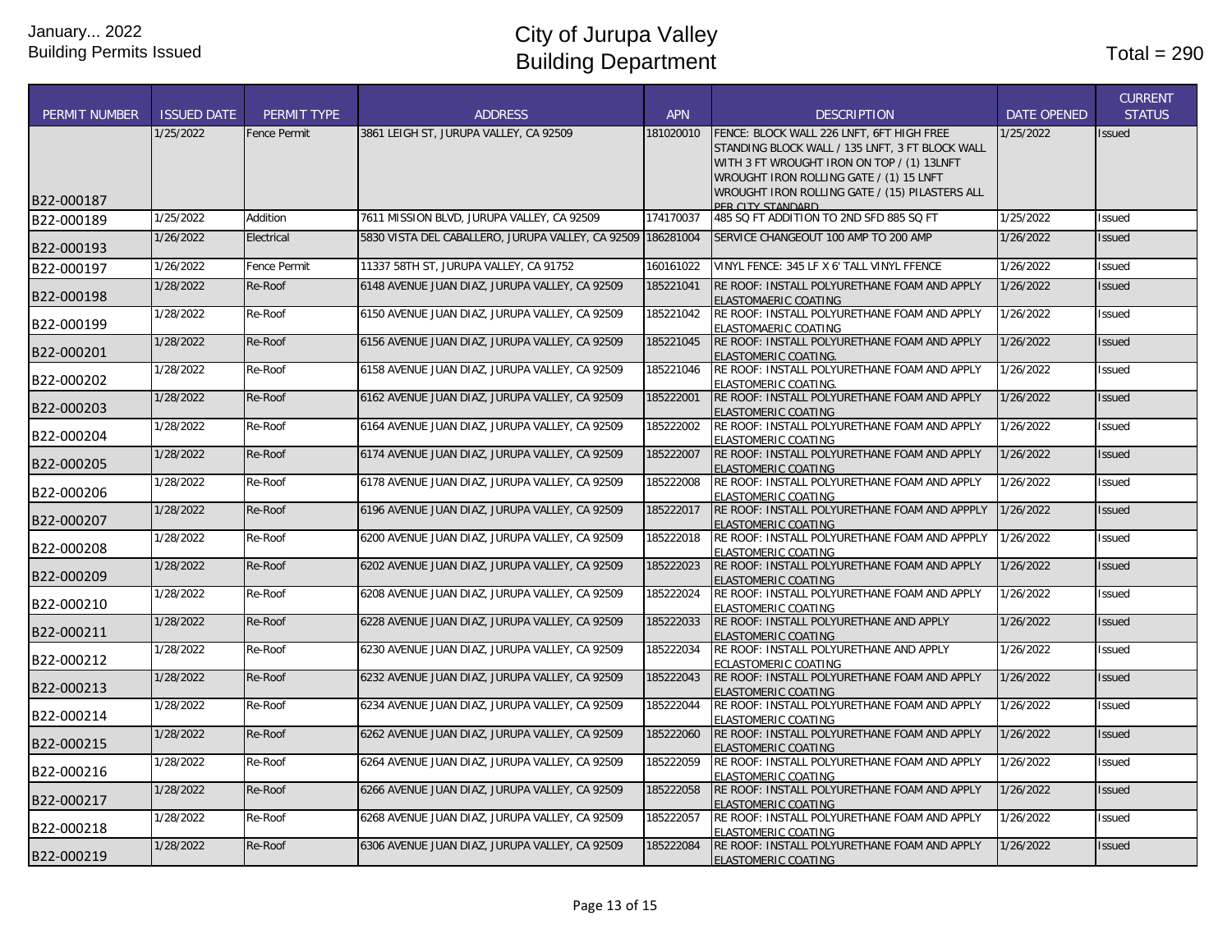|                      |                    |                     |                                                             |            |                                                                                                                                                                                                                                                              |                    | <b>CURRENT</b> |
|----------------------|--------------------|---------------------|-------------------------------------------------------------|------------|--------------------------------------------------------------------------------------------------------------------------------------------------------------------------------------------------------------------------------------------------------------|--------------------|----------------|
| <b>PERMIT NUMBER</b> | <b>ISSUED DATE</b> | PERMIT TYPE         | <b>ADDRESS</b>                                              | <b>APN</b> | <b>DESCRIPTION</b>                                                                                                                                                                                                                                           | <b>DATE OPENED</b> | <b>STATUS</b>  |
| B22-000187           | 1/25/2022          | <b>Fence Permit</b> | 3861 LEIGH ST, JURUPA VALLEY, CA 92509                      | 181020010  | FENCE: BLOCK WALL 226 LNFT, 6FT HIGH FREE<br>STANDING BLOCK WALL / 135 LNFT, 3 FT BLOCK WALL<br>WITH 3 FT WROUGHT IRON ON TOP / (1) 13LNFT<br>WROUGHT IRON ROLLING GATE / (1) 15 LNFT<br>WROUGHT IRON ROLLING GATE / (15) PILASTERS ALL<br>PER CITY STANDARD | 1/25/2022          | <b>Issued</b>  |
| B22-000189           | 1/25/2022          | Addition            | 7611 MISSION BLVD, JURUPA VALLEY, CA 92509                  | 174170037  | 485 SQ FT ADDITION TO 2ND SFD 885 SQ FT                                                                                                                                                                                                                      | 1/25/2022          | Issued         |
| B22-000193           | 1/26/2022          | Electrical          | 5830 VISTA DEL CABALLERO, JURUPA VALLEY, CA 92509 186281004 |            | SERVICE CHANGEOUT 100 AMP TO 200 AMP                                                                                                                                                                                                                         | 1/26/2022          | <b>Issued</b>  |
| B22-000197           | 1/26/2022          | Fence Permit        | 11337 58TH ST, JURUPA VALLEY, CA 91752                      | 160161022  | VINYL FENCE: 345 LF X 6' TALL VINYL FFENCE                                                                                                                                                                                                                   | 1/26/2022          | Issued         |
| B22-000198           | 1/28/2022          | Re-Roof             | 6148 AVENUE JUAN DIAZ, JURUPA VALLEY, CA 92509              | 185221041  | RE ROOF: INSTALL POLYURETHANE FOAM AND APPLY<br>ELASTOMAERIC COATING                                                                                                                                                                                         | 1/26/2022          | <b>Issued</b>  |
| B22-000199           | 1/28/2022          | Re-Roof             | 6150 AVENUE JUAN DIAZ, JURUPA VALLEY, CA 92509              | 185221042  | RE ROOF: INSTALL POLYURETHANE FOAM AND APPLY<br>ELASTOMAERIC COATING                                                                                                                                                                                         | 1/26/2022          | <b>Issued</b>  |
| B22-000201           | 1/28/2022          | Re-Roof             | 6156 AVENUE JUAN DIAZ, JURUPA VALLEY, CA 92509              | 185221045  | RE ROOF: INSTALL POLYURETHANE FOAM AND APPLY<br><b>ELASTOMERIC COATING.</b>                                                                                                                                                                                  | 1/26/2022          | <b>Issued</b>  |
| B22-000202           | 1/28/2022          | Re-Roof             | 6158 AVENUE JUAN DIAZ, JURUPA VALLEY, CA 92509              | 185221046  | RE ROOF: INSTALL POLYURETHANE FOAM AND APPLY<br>ELASTOMERIC COATING.                                                                                                                                                                                         | 1/26/2022          | <b>Issued</b>  |
| B22-000203           | 1/28/2022          | Re-Roof             | 6162 AVENUE JUAN DIAZ, JURUPA VALLEY, CA 92509              | 185222001  | RE ROOF: INSTALL POLYURETHANE FOAM AND APPLY<br><b>ELASTOMERIC COATING</b>                                                                                                                                                                                   | 1/26/2022          | <b>Issued</b>  |
| B22-000204           | 1/28/2022          | Re-Roof             | 6164 AVENUE JUAN DIAZ, JURUPA VALLEY, CA 92509              | 185222002  | RE ROOF: INSTALL POLYURETHANE FOAM AND APPLY<br>ELASTOMERIC COATING                                                                                                                                                                                          | 1/26/2022          | <b>Issued</b>  |
| B22-000205           | 1/28/2022          | Re-Roof             | 6174 AVENUE JUAN DIAZ, JURUPA VALLEY, CA 92509              | 185222007  | RE ROOF: INSTALL POLYURETHANE FOAM AND APPLY<br>ELASTOMERIC COATING                                                                                                                                                                                          | 1/26/2022          | <b>Issued</b>  |
| B22-000206           | 1/28/2022          | Re-Roof             | 6178 AVENUE JUAN DIAZ, JURUPA VALLEY, CA 92509              | 185222008  | RE ROOF: INSTALL POLYURETHANE FOAM AND APPLY<br><b>ELASTOMERIC COATING</b>                                                                                                                                                                                   | 1/26/2022          | <b>Issued</b>  |
| B22-000207           | 1/28/2022          | Re-Roof             | 6196 AVENUE JUAN DIAZ, JURUPA VALLEY, CA 92509              | 185222017  | RE ROOF: INSTALL POLYURETHANE FOAM AND APPPLY<br><b>ELASTOMERIC COATING</b>                                                                                                                                                                                  | 1/26/2022          | <b>Issued</b>  |
| B22-000208           | 1/28/2022          | Re-Roof             | 6200 AVENUE JUAN DIAZ, JURUPA VALLEY, CA 92509              | 185222018  | RE ROOF: INSTALL POLYURETHANE FOAM AND APPPLY<br>ELASTOMERIC COATING                                                                                                                                                                                         | 1/26/2022          | <b>Issued</b>  |
| B22-000209           | 1/28/2022          | Re-Roof             | 6202 AVENUE JUAN DIAZ, JURUPA VALLEY, CA 92509              | 185222023  | RE ROOF: INSTALL POLYURETHANE FOAM AND APPLY<br><b>ELASTOMERIC COATING</b>                                                                                                                                                                                   | 1/26/2022          | <b>Issued</b>  |
| B22-000210           | 1/28/2022          | Re-Roof             | 6208 AVENUE JUAN DIAZ, JURUPA VALLEY, CA 92509              | 185222024  | RE ROOF: INSTALL POLYURETHANE FOAM AND APPLY<br>ELASTOMERIC COATING                                                                                                                                                                                          | 1/26/2022          | <b>Issued</b>  |
| B22-000211           | 1/28/2022          | Re-Roof             | 6228 AVENUE JUAN DIAZ, JURUPA VALLEY, CA 92509              | 185222033  | RE ROOF: INSTALL POLYURETHANE AND APPLY<br><b>ELASTOMERIC COATING</b>                                                                                                                                                                                        | 1/26/2022          | <b>Issued</b>  |
| B22-000212           | 1/28/2022          | Re-Roof             | 6230 AVENUE JUAN DIAZ, JURUPA VALLEY, CA 92509              | 185222034  | RE ROOF: INSTALL POLYURETHANE AND APPLY<br>ECLASTOMERIC COATING                                                                                                                                                                                              | 1/26/2022          | <b>Issued</b>  |
| B22-000213           | 1/28/2022          | Re-Roof             | 6232 AVENUE JUAN DIAZ, JURUPA VALLEY, CA 92509              | 185222043  | RE ROOF: INSTALL POLYURETHANE FOAM AND APPLY<br>ELASTOMERIC COATING                                                                                                                                                                                          | 1/26/2022          | <b>Issued</b>  |
| B22-000214           | 1/28/2022          | Re-Roof             | 6234 AVENUE JUAN DIAZ, JURUPA VALLEY, CA 92509              | 185222044  | RE ROOF: INSTALL POLYURETHANE FOAM AND APPLY<br><b>ELASTOMERIC COATING</b>                                                                                                                                                                                   | 1/26/2022          | Issued         |
| B22-000215           | 1/28/2022          | Re-Roof             | 6262 AVENUE JUAN DIAZ, JURUPA VALLEY, CA 92509              | 185222060  | RE ROOF: INSTALL POLYURETHANE FOAM AND APPLY<br>ELASTOMERIC COATING                                                                                                                                                                                          | 1/26/2022          | <b>Issued</b>  |
| B22-000216           | 1/28/2022          | Re-Roof             | 6264 AVENUE JUAN DIAZ, JURUPA VALLEY, CA 92509              | 185222059  | RE ROOF: INSTALL POLYURETHANE FOAM AND APPLY<br>ELASTOMERIC COATING                                                                                                                                                                                          | 1/26/2022          | <b>Issued</b>  |
| B22-000217           | 1/28/2022          | Re-Roof             | 6266 AVENUE JUAN DIAZ, JURUPA VALLEY, CA 92509              | 185222058  | RE ROOF: INSTALL POLYURETHANE FOAM AND APPLY<br><b>ELASTOMERIC COATING</b>                                                                                                                                                                                   | 1/26/2022          | <b>Issued</b>  |
| B22-000218           | 1/28/2022          | Re-Roof             | 6268 AVENUE JUAN DIAZ, JURUPA VALLEY, CA 92509              | 185222057  | RE ROOF: INSTALL POLYURETHANE FOAM AND APPLY<br>ELASTOMERIC COATING                                                                                                                                                                                          | 1/26/2022          | <b>Issued</b>  |
| B22-000219           | 1/28/2022          | Re-Roof             | 6306 AVENUE JUAN DIAZ, JURUPA VALLEY, CA 92509              | 185222084  | RE ROOF: INSTALL POLYURETHANE FOAM AND APPLY<br>ELASTOMERIC COATING                                                                                                                                                                                          | 1/26/2022          | <b>Issued</b>  |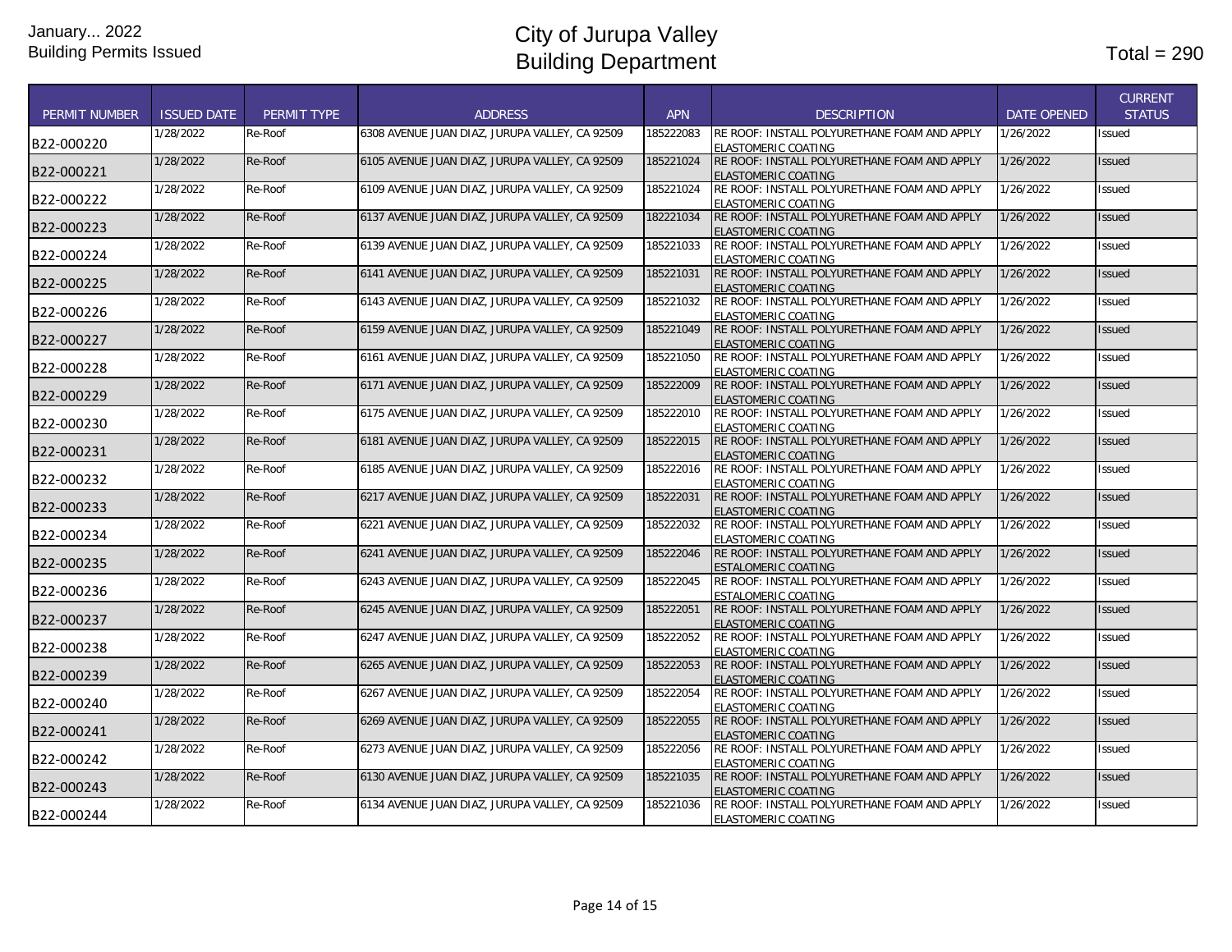| <b>PERMIT NUMBER</b> | <b>ISSUED DATE</b>     | PERMIT TYPE | <b>ADDRESS</b>                                 | <b>APN</b> | <b>DESCRIPTION</b>                                                                                                  | <b>DATE OPENED</b> | <b>CURRENT</b><br><b>STATUS</b> |
|----------------------|------------------------|-------------|------------------------------------------------|------------|---------------------------------------------------------------------------------------------------------------------|--------------------|---------------------------------|
| B22-000220           | 1/28/2022              | Re-Roof     | 6308 AVENUE JUAN DIAZ, JURUPA VALLEY, CA 92509 | 185222083  | RE ROOF: INSTALL POLYURETHANE FOAM AND APPLY<br>ELASTOMERIC COATING                                                 | 1/26/2022          | Issued                          |
| B22-000221           | 1/28/2022              | Re-Roof     | 6105 AVENUE JUAN DIAZ, JURUPA VALLEY, CA 92509 | 185221024  | RE ROOF: INSTALL POLYURETHANE FOAM AND APPLY<br><b>ELASTOMERIC COATING</b>                                          | 1/26/2022          | Issued                          |
| B22-000222           | 1/28/2022              | Re-Roof     | 6109 AVENUE JUAN DIAZ, JURUPA VALLEY, CA 92509 | 185221024  | RE ROOF: INSTALL POLYURETHANE FOAM AND APPLY<br><b>ELASTOMERIC COATING</b>                                          | 1/26/2022          | Issued                          |
| B22-000223           | 1/28/2022              | Re-Roof     | 6137 AVENUE JUAN DIAZ, JURUPA VALLEY, CA 92509 | 182221034  | RE ROOF: INSTALL POLYURETHANE FOAM AND APPLY<br><b>ELASTOMERIC COATING</b>                                          | 1/26/2022          | Issued                          |
| B22-000224           | 1/28/2022              | Re-Roof     | 6139 AVENUE JUAN DIAZ, JURUPA VALLEY, CA 92509 | 185221033  | RE ROOF: INSTALL POLYURETHANE FOAM AND APPLY<br><b>ELASTOMERIC COATING</b>                                          | 1/26/2022          | Issued                          |
| B22-000225           | 1/28/2022              | Re-Roof     | 6141 AVENUE JUAN DIAZ, JURUPA VALLEY, CA 92509 | 185221031  | RE ROOF: INSTALL POLYURETHANE FOAM AND APPLY<br><b>ELASTOMERIC COATING</b>                                          | 1/26/2022          | <b>Issued</b>                   |
| B22-000226           | 1/28/2022              | Re-Roof     | 6143 AVENUE JUAN DIAZ, JURUPA VALLEY, CA 92509 | 185221032  | RE ROOF: INSTALL POLYURETHANE FOAM AND APPLY<br>ELASTOMERIC COATING                                                 | 1/26/2022          | Issued                          |
| B22-000227           | 1/28/2022              | Re-Roof     | 6159 AVENUE JUAN DIAZ, JURUPA VALLEY, CA 92509 | 185221049  | RE ROOF: INSTALL POLYURETHANE FOAM AND APPLY<br><b>ELASTOMERIC COATING</b>                                          | 1/26/2022          | Issued                          |
| B22-000228           | 1/28/2022              | Re-Roof     | 6161 AVENUE JUAN DIAZ, JURUPA VALLEY, CA 92509 | 185221050  | RE ROOF: INSTALL POLYURETHANE FOAM AND APPLY<br><b>ELASTOMERIC COATING</b>                                          | 1/26/2022          | Issued                          |
| B22-000229           | 1/28/2022              | Re-Roof     | 6171 AVENUE JUAN DIAZ, JURUPA VALLEY, CA 92509 | 185222009  | RE ROOF: INSTALL POLYURETHANE FOAM AND APPLY<br><b>ELASTOMERIC COATING</b>                                          | 1/26/2022          | <b>Issued</b>                   |
| B22-000230           | 1/28/2022              | Re-Roof     | 6175 AVENUE JUAN DIAZ, JURUPA VALLEY, CA 92509 | 185222010  | RE ROOF: INSTALL POLYURETHANE FOAM AND APPLY<br><b>ELASTOMERIC COATING</b>                                          | 1/26/2022          | Issued                          |
| B22-000231           | 1/28/2022              | Re-Roof     | 6181 AVENUE JUAN DIAZ, JURUPA VALLEY, CA 92509 | 185222015  | RE ROOF: INSTALL POLYURETHANE FOAM AND APPLY<br>ELASTOMERIC COATING                                                 | 1/26/2022          | <b>Issued</b>                   |
| B22-000232           | 1/28/2022              | Re-Roof     | 6185 AVENUE JUAN DIAZ, JURUPA VALLEY, CA 92509 | 185222016  | RE ROOF: INSTALL POLYURETHANE FOAM AND APPLY<br>ELASTOMERIC COATING                                                 | 1/26/2022          | Issued                          |
| B22-000233           | 1/28/2022              | Re-Roof     | 6217 AVENUE JUAN DIAZ, JURUPA VALLEY, CA 92509 | 185222031  | RE ROOF: INSTALL POLYURETHANE FOAM AND APPLY<br><b>ELASTOMERIC COATING</b>                                          | 1/26/2022          | Issued                          |
| B22-000234           | 1/28/2022              | Re-Roof     | 6221 AVENUE JUAN DIAZ, JURUPA VALLEY, CA 92509 | 185222032  | RE ROOF: INSTALL POLYURETHANE FOAM AND APPLY<br><b>ELASTOMERIC COATING</b>                                          | 1/26/2022          | Issued                          |
| B22-000235           | 1/28/2022              | Re-Roof     | 6241 AVENUE JUAN DIAZ, JURUPA VALLEY, CA 92509 | 185222046  | RE ROOF: INSTALL POLYURETHANE FOAM AND APPLY<br><b>ESTALOMERIC COATING</b>                                          | 1/26/2022          | <b>Issued</b>                   |
| B22-000236           | 1/28/2022              | Re-Roof     | 6243 AVENUE JUAN DIAZ, JURUPA VALLEY, CA 92509 | 185222045  | RE ROOF: INSTALL POLYURETHANE FOAM AND APPLY<br><b>ESTALOMERIC COATING</b>                                          | 1/26/2022          | Issued                          |
| B22-000237           | 1/28/2022              | Re-Roof     | 6245 AVENUE JUAN DIAZ, JURUPA VALLEY, CA 92509 | 185222051  | RE ROOF: INSTALL POLYURETHANE FOAM AND APPLY<br><b>ELASTOMERIC COATING</b>                                          | 1/26/2022          | Issued                          |
| B22-000238           | 1/28/2022<br>1/28/2022 | Re-Roof     | 6247 AVENUE JUAN DIAZ, JURUPA VALLEY, CA 92509 | 185222052  | RE ROOF: INSTALL POLYURETHANE FOAM AND APPLY<br>ELASTOMERIC COATING<br>RE ROOF: INSTALL POLYURETHANE FOAM AND APPLY | 1/26/2022          | Issued                          |
| B22-000239           |                        | Re-Roof     | 6265 AVENUE JUAN DIAZ, JURUPA VALLEY, CA 92509 | 185222053  | <b>ELASTOMERIC COATING</b>                                                                                          | 1/26/2022          | <b>Issued</b>                   |
| B22-000240           | 1/28/2022              | Re-Roof     | 6267 AVENUE JUAN DIAZ, JURUPA VALLEY, CA 92509 | 185222054  | RE ROOF: INSTALL POLYURETHANE FOAM AND APPLY<br>ELASTOMERIC COATING                                                 | 1/26/2022          | Issued                          |
| B22-000241           | 1/28/2022              | Re-Roof     | 6269 AVENUE JUAN DIAZ, JURUPA VALLEY, CA 92509 | 185222055  | RE ROOF: INSTALL POLYURETHANE FOAM AND APPLY<br><b>ELASTOMERIC COATING</b>                                          | 1/26/2022          | Issued                          |
| B22-000242           | 1/28/2022              | Re-Roof     | 6273 AVENUE JUAN DIAZ, JURUPA VALLEY, CA 92509 | 185222056  | RE ROOF: INSTALL POLYURETHANE FOAM AND APPLY<br><b>ELASTOMERIC COATING</b>                                          | 1/26/2022          | Issued                          |
| B22-000243           | 1/28/2022              | Re-Roof     | 6130 AVENUE JUAN DIAZ, JURUPA VALLEY, CA 92509 | 185221035  | RE ROOF: INSTALL POLYURETHANE FOAM AND APPLY<br>ELASTOMERIC COATING                                                 | 1/26/2022          | Issued                          |
| B22-000244           | 1/28/2022              | Re-Roof     | 6134 AVENUE JUAN DIAZ, JURUPA VALLEY, CA 92509 | 185221036  | RE ROOF: INSTALL POLYURETHANE FOAM AND APPLY<br><b>ELASTOMERIC COATING</b>                                          | 1/26/2022          | Issued                          |